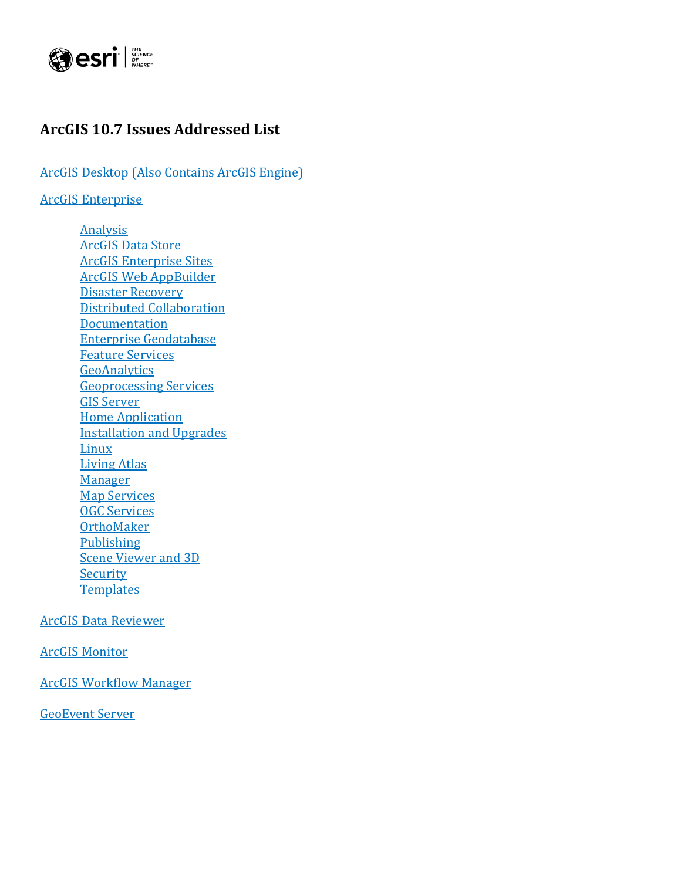

### <span id="page-0-0"></span>**ArcGIS 10.7 Issues Addressed List**

ArcGIS [Desktop](#page-1-0) (Also Contains ArcGIS Engine)

[ArcGIS Enterprise](#page-6-0)

[Analysis](#page-6-1) [ArcGIS Data Store](#page-7-0) [ArcGIS Enterprise Sites](#page-7-1) [ArcGIS Web AppBuilder](#page-8-0) [Disaster Recovery](#page-9-0) [Distributed Collaboration](#page-9-1) **[Documentation](#page-10-0)** [Enterprise Geodatabase](#page-10-1) [Feature Services](#page-12-0) **[GeoAnalytics](#page-12-1)** [Geoprocessing Services](#page-13-0) [GIS Server](#page-13-1) [Home Application](#page-14-0) Installation [and Upgrades](#page-17-0) [Linux](#page-17-1) [Living Atlas](#page-17-2) [Manager](#page-18-0) [Map Services](#page-18-1) [OGC Services](#page-19-0) **[OrthoMaker](#page-19-1) [Publishing](#page-20-0)** [Scene Viewer](#page-20-1) and 3D **[Security](#page-20-2) [Templates](#page-21-0)** 

[ArcGIS Data Reviewer](#page-21-1)

ArcGIS [Monitor](#page-22-0)

[ArcGIS Workflow Manager](#page-22-1)

[GeoEvent Server](#page-22-2)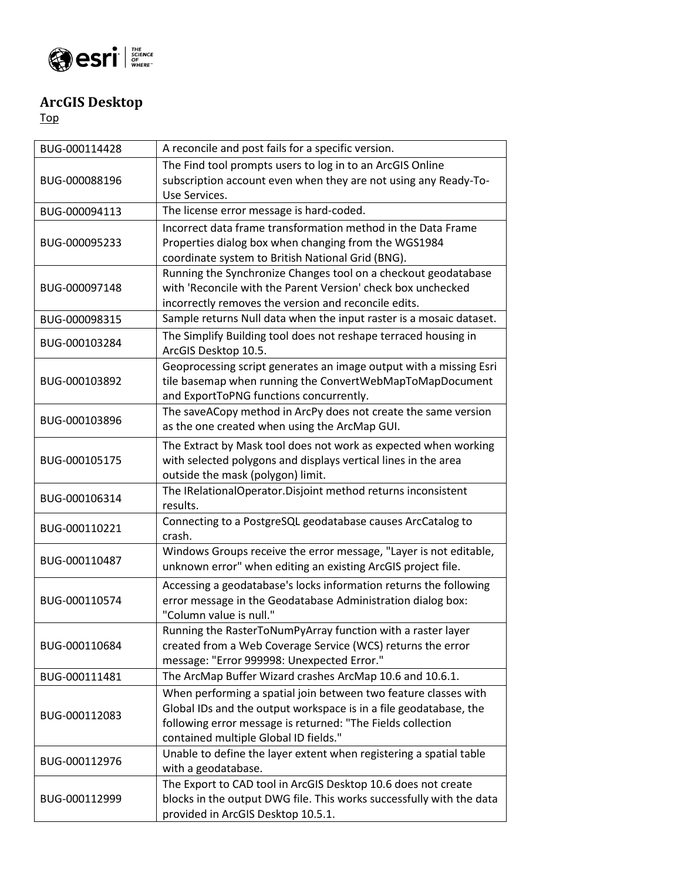

## <span id="page-1-0"></span>**ArcGIS Desktop**

| BUG-000114428 | A reconcile and post fails for a specific version.                                                                                    |
|---------------|---------------------------------------------------------------------------------------------------------------------------------------|
|               | The Find tool prompts users to log in to an ArcGIS Online                                                                             |
| BUG-000088196 | subscription account even when they are not using any Ready-To-                                                                       |
|               | Use Services.                                                                                                                         |
| BUG-000094113 | The license error message is hard-coded.                                                                                              |
|               | Incorrect data frame transformation method in the Data Frame                                                                          |
| BUG-000095233 | Properties dialog box when changing from the WGS1984                                                                                  |
|               | coordinate system to British National Grid (BNG).                                                                                     |
|               | Running the Synchronize Changes tool on a checkout geodatabase                                                                        |
| BUG-000097148 | with 'Reconcile with the Parent Version' check box unchecked                                                                          |
|               | incorrectly removes the version and reconcile edits.                                                                                  |
| BUG-000098315 | Sample returns Null data when the input raster is a mosaic dataset.                                                                   |
| BUG-000103284 | The Simplify Building tool does not reshape terraced housing in<br>ArcGIS Desktop 10.5.                                               |
|               | Geoprocessing script generates an image output with a missing Esri                                                                    |
| BUG-000103892 | tile basemap when running the ConvertWebMapToMapDocument                                                                              |
|               | and ExportToPNG functions concurrently.                                                                                               |
| BUG-000103896 | The saveACopy method in ArcPy does not create the same version                                                                        |
|               | as the one created when using the ArcMap GUI.                                                                                         |
|               | The Extract by Mask tool does not work as expected when working                                                                       |
| BUG-000105175 | with selected polygons and displays vertical lines in the area                                                                        |
|               | outside the mask (polygon) limit.                                                                                                     |
| BUG-000106314 | The IRelationalOperator.Disjoint method returns inconsistent<br>results.                                                              |
| BUG-000110221 | Connecting to a PostgreSQL geodatabase causes ArcCatalog to<br>crash.                                                                 |
|               | Windows Groups receive the error message, "Layer is not editable,                                                                     |
| BUG-000110487 | unknown error" when editing an existing ArcGIS project file.                                                                          |
|               | Accessing a geodatabase's locks information returns the following                                                                     |
| BUG-000110574 | error message in the Geodatabase Administration dialog box:                                                                           |
|               | "Column value is null."                                                                                                               |
|               | Running the RasterToNumPyArray function with a raster layer                                                                           |
| BUG-000110684 | created from a Web Coverage Service (WCS) returns the error                                                                           |
|               | message: "Error 999998: Unexpected Error."                                                                                            |
| BUG-000111481 | The ArcMap Buffer Wizard crashes ArcMap 10.6 and 10.6.1.                                                                              |
|               | When performing a spatial join between two feature classes with                                                                       |
| BUG-000112083 | Global IDs and the output workspace is in a file geodatabase, the                                                                     |
|               | following error message is returned: "The Fields collection                                                                           |
|               | contained multiple Global ID fields."                                                                                                 |
| BUG-000112976 | Unable to define the layer extent when registering a spatial table                                                                    |
|               | with a geodatabase.                                                                                                                   |
| BUG-000112999 | The Export to CAD tool in ArcGIS Desktop 10.6 does not create<br>blocks in the output DWG file. This works successfully with the data |
|               | provided in ArcGIS Desktop 10.5.1.                                                                                                    |
|               |                                                                                                                                       |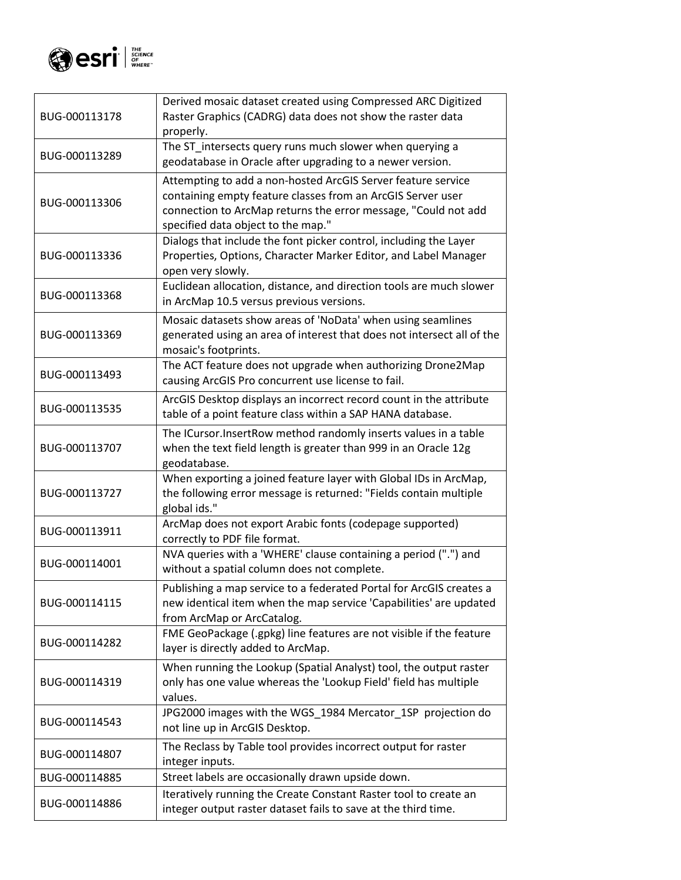

| BUG-000113178 | Derived mosaic dataset created using Compressed ARC Digitized<br>Raster Graphics (CADRG) data does not show the raster data<br>properly.                                                                                            |
|---------------|-------------------------------------------------------------------------------------------------------------------------------------------------------------------------------------------------------------------------------------|
| BUG-000113289 | The ST_intersects query runs much slower when querying a<br>geodatabase in Oracle after upgrading to a newer version.                                                                                                               |
| BUG-000113306 | Attempting to add a non-hosted ArcGIS Server feature service<br>containing empty feature classes from an ArcGIS Server user<br>connection to ArcMap returns the error message, "Could not add<br>specified data object to the map." |
| BUG-000113336 | Dialogs that include the font picker control, including the Layer<br>Properties, Options, Character Marker Editor, and Label Manager<br>open very slowly.                                                                           |
| BUG-000113368 | Euclidean allocation, distance, and direction tools are much slower<br>in ArcMap 10.5 versus previous versions.                                                                                                                     |
| BUG-000113369 | Mosaic datasets show areas of 'NoData' when using seamlines<br>generated using an area of interest that does not intersect all of the<br>mosaic's footprints.                                                                       |
| BUG-000113493 | The ACT feature does not upgrade when authorizing Drone2Map<br>causing ArcGIS Pro concurrent use license to fail.                                                                                                                   |
| BUG-000113535 | ArcGIS Desktop displays an incorrect record count in the attribute<br>table of a point feature class within a SAP HANA database.                                                                                                    |
| BUG-000113707 | The ICursor. InsertRow method randomly inserts values in a table<br>when the text field length is greater than 999 in an Oracle 12g<br>geodatabase.                                                                                 |
| BUG-000113727 | When exporting a joined feature layer with Global IDs in ArcMap,<br>the following error message is returned: "Fields contain multiple<br>global ids."                                                                               |
| BUG-000113911 | ArcMap does not export Arabic fonts (codepage supported)<br>correctly to PDF file format.                                                                                                                                           |
| BUG-000114001 | NVA queries with a 'WHERE' clause containing a period (".") and<br>without a spatial column does not complete.                                                                                                                      |
| BUG-000114115 | Publishing a map service to a federated Portal for ArcGIS creates a<br>new identical item when the map service 'Capabilities' are updated<br>from ArcMap or ArcCatalog.                                                             |
| BUG-000114282 | FME GeoPackage (.gpkg) line features are not visible if the feature<br>layer is directly added to ArcMap.                                                                                                                           |
| BUG-000114319 | When running the Lookup (Spatial Analyst) tool, the output raster<br>only has one value whereas the 'Lookup Field' field has multiple<br>values.                                                                                    |
| BUG-000114543 | JPG2000 images with the WGS_1984 Mercator_1SP_projection do<br>not line up in ArcGIS Desktop.                                                                                                                                       |
| BUG-000114807 | The Reclass by Table tool provides incorrect output for raster<br>integer inputs.                                                                                                                                                   |
| BUG-000114885 | Street labels are occasionally drawn upside down.                                                                                                                                                                                   |
| BUG-000114886 | Iteratively running the Create Constant Raster tool to create an<br>integer output raster dataset fails to save at the third time.                                                                                                  |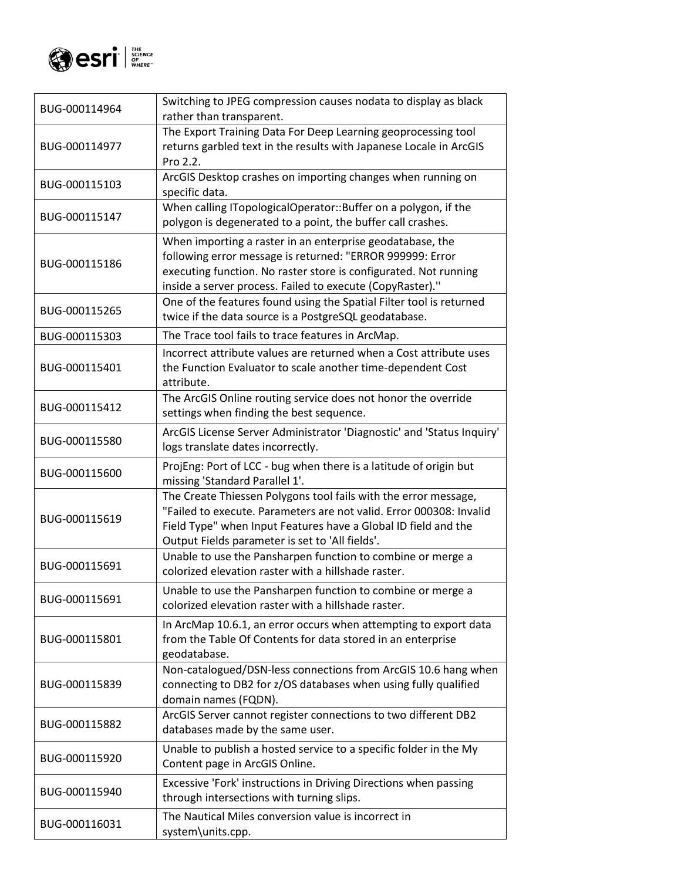

| BUG-000114964 | Switching to JPEG compression causes nodata to display as black<br>rather than transparent.                                                                                                                                                                 |
|---------------|-------------------------------------------------------------------------------------------------------------------------------------------------------------------------------------------------------------------------------------------------------------|
| BUG-000114977 | The Export Training Data For Deep Learning geoprocessing tool<br>returns garbled text in the results with Japanese Locale in ArcGIS<br>Pro 2.2.                                                                                                             |
| BUG-000115103 | ArcGIS Desktop crashes on importing changes when running on<br>specific data.                                                                                                                                                                               |
| BUG-000115147 | When calling ITopologicalOperator::Buffer on a polygon, if the<br>polygon is degenerated to a point, the buffer call crashes.                                                                                                                               |
| BUG-000115186 | When importing a raster in an enterprise geodatabase, the<br>following error message is returned: "ERROR 999999: Error<br>executing function. No raster store is configurated. Not running<br>inside a server process. Failed to execute (CopyRaster)."     |
| BUG-000115265 | One of the features found using the Spatial Filter tool is returned<br>twice if the data source is a PostgreSQL geodatabase.                                                                                                                                |
| BUG-000115303 | The Trace tool fails to trace features in ArcMap.                                                                                                                                                                                                           |
| BUG-000115401 | Incorrect attribute values are returned when a Cost attribute uses<br>the Function Evaluator to scale another time-dependent Cost<br>attribute.                                                                                                             |
| BUG-000115412 | The ArcGIS Online routing service does not honor the override<br>settings when finding the best sequence.                                                                                                                                                   |
| BUG-000115580 | ArcGIS License Server Administrator 'Diagnostic' and 'Status Inquiry'<br>logs translate dates incorrectly.                                                                                                                                                  |
| BUG-000115600 | ProjEng: Port of LCC - bug when there is a latitude of origin but<br>missing 'Standard Parallel 1'.                                                                                                                                                         |
| BUG-000115619 | The Create Thiessen Polygons tool fails with the error message,<br>"Failed to execute. Parameters are not valid. Error 000308: Invalid<br>Field Type" when Input Features have a Global ID field and the<br>Output Fields parameter is set to 'All fields'. |
| BUG-000115691 | Unable to use the Pansharpen function to combine or merge a<br>colorized elevation raster with a hillshade raster.                                                                                                                                          |
| BUG-000115691 | Unable to use the Pansharpen function to combine or merge a<br>colorized elevation raster with a hillshade raster.                                                                                                                                          |
| BUG-000115801 | In ArcMap 10.6.1, an error occurs when attempting to export data<br>from the Table Of Contents for data stored in an enterprise<br>geodatabase.                                                                                                             |
| BUG-000115839 | Non-catalogued/DSN-less connections from ArcGIS 10.6 hang when<br>connecting to DB2 for z/OS databases when using fully qualified<br>domain names (FQDN).                                                                                                   |
| BUG-000115882 | ArcGIS Server cannot register connections to two different DB2<br>databases made by the same user.                                                                                                                                                          |
| BUG-000115920 | Unable to publish a hosted service to a specific folder in the My<br>Content page in ArcGIS Online.                                                                                                                                                         |
| BUG-000115940 | Excessive 'Fork' instructions in Driving Directions when passing<br>through intersections with turning slips.                                                                                                                                               |
| BUG-000116031 | The Nautical Miles conversion value is incorrect in<br>system\units.cpp.                                                                                                                                                                                    |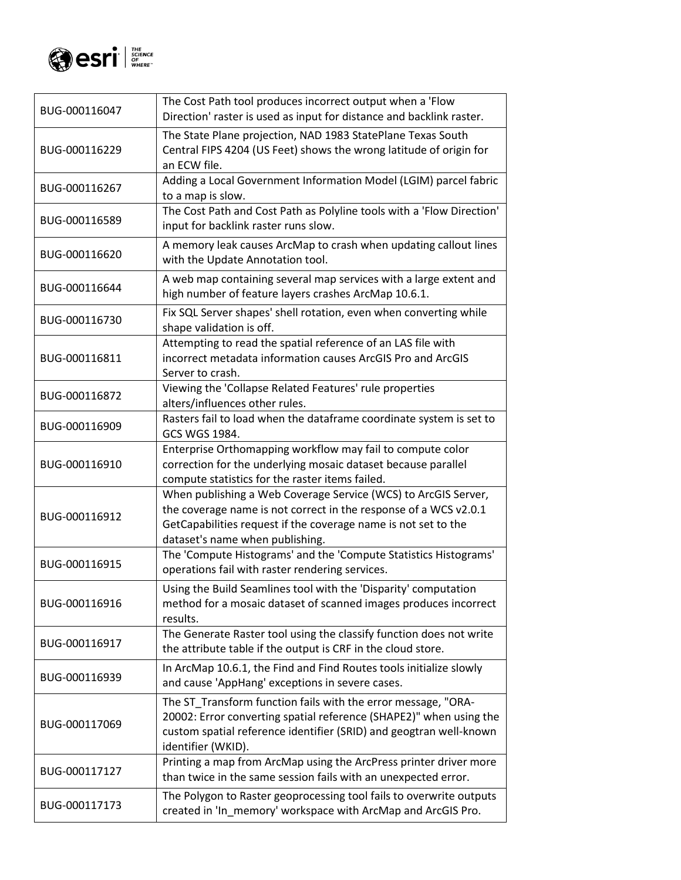

| BUG-000116047 | The Cost Path tool produces incorrect output when a 'Flow<br>Direction' raster is used as input for distance and backlink raster.                                                                                                       |
|---------------|-----------------------------------------------------------------------------------------------------------------------------------------------------------------------------------------------------------------------------------------|
| BUG-000116229 | The State Plane projection, NAD 1983 StatePlane Texas South<br>Central FIPS 4204 (US Feet) shows the wrong latitude of origin for<br>an ECW file.                                                                                       |
| BUG-000116267 | Adding a Local Government Information Model (LGIM) parcel fabric<br>to a map is slow.                                                                                                                                                   |
| BUG-000116589 | The Cost Path and Cost Path as Polyline tools with a 'Flow Direction'<br>input for backlink raster runs slow.                                                                                                                           |
| BUG-000116620 | A memory leak causes ArcMap to crash when updating callout lines<br>with the Update Annotation tool.                                                                                                                                    |
| BUG-000116644 | A web map containing several map services with a large extent and<br>high number of feature layers crashes ArcMap 10.6.1.                                                                                                               |
| BUG-000116730 | Fix SQL Server shapes' shell rotation, even when converting while<br>shape validation is off.                                                                                                                                           |
| BUG-000116811 | Attempting to read the spatial reference of an LAS file with<br>incorrect metadata information causes ArcGIS Pro and ArcGIS<br>Server to crash.                                                                                         |
| BUG-000116872 | Viewing the 'Collapse Related Features' rule properties<br>alters/influences other rules.                                                                                                                                               |
| BUG-000116909 | Rasters fail to load when the dataframe coordinate system is set to<br>GCS WGS 1984.                                                                                                                                                    |
| BUG-000116910 | Enterprise Orthomapping workflow may fail to compute color<br>correction for the underlying mosaic dataset because parallel<br>compute statistics for the raster items failed.                                                          |
| BUG-000116912 | When publishing a Web Coverage Service (WCS) to ArcGIS Server,<br>the coverage name is not correct in the response of a WCS v2.0.1<br>GetCapabilities request if the coverage name is not set to the<br>dataset's name when publishing. |
| BUG-000116915 | The 'Compute Histograms' and the 'Compute Statistics Histograms'<br>operations fail with raster rendering services.                                                                                                                     |
| BUG-000116916 | Using the Build Seamlines tool with the 'Disparity' computation<br>method for a mosaic dataset of scanned images produces incorrect<br>results.                                                                                         |
| BUG-000116917 | The Generate Raster tool using the classify function does not write<br>the attribute table if the output is CRF in the cloud store.                                                                                                     |
| BUG-000116939 | In ArcMap 10.6.1, the Find and Find Routes tools initialize slowly<br>and cause 'AppHang' exceptions in severe cases.                                                                                                                   |
| BUG-000117069 | The ST_Transform function fails with the error message, "ORA-<br>20002: Error converting spatial reference (SHAPE2)" when using the<br>custom spatial reference identifier (SRID) and geogtran well-known<br>identifier (WKID).         |
| BUG-000117127 | Printing a map from ArcMap using the ArcPress printer driver more<br>than twice in the same session fails with an unexpected error.                                                                                                     |
| BUG-000117173 | The Polygon to Raster geoprocessing tool fails to overwrite outputs<br>created in 'In_memory' workspace with ArcMap and ArcGIS Pro.                                                                                                     |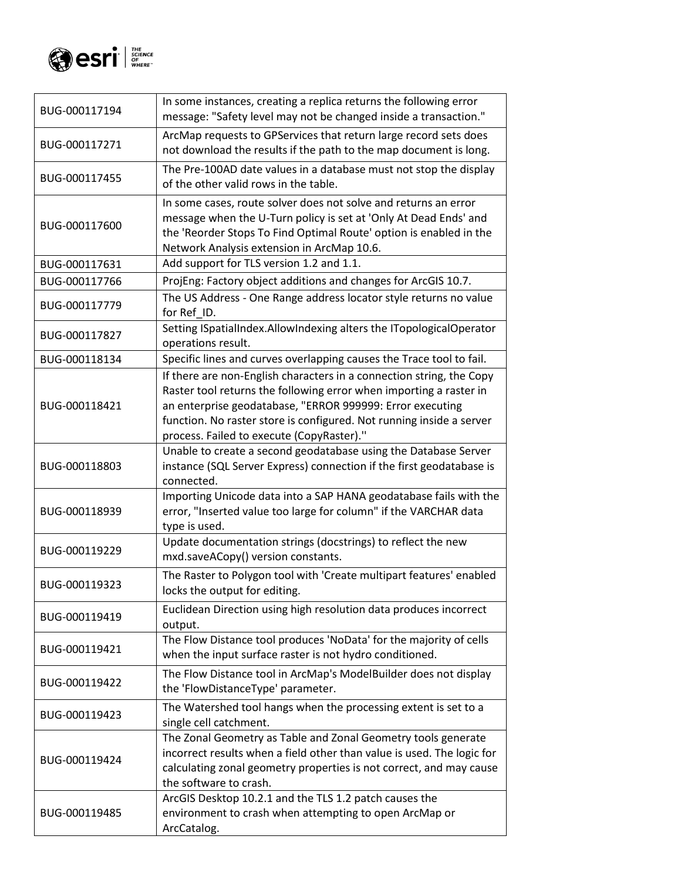

| BUG-000117194 | In some instances, creating a replica returns the following error<br>message: "Safety level may not be changed inside a transaction."                                                                                                                                                                                        |
|---------------|------------------------------------------------------------------------------------------------------------------------------------------------------------------------------------------------------------------------------------------------------------------------------------------------------------------------------|
| BUG-000117271 | ArcMap requests to GPServices that return large record sets does<br>not download the results if the path to the map document is long.                                                                                                                                                                                        |
| BUG-000117455 | The Pre-100AD date values in a database must not stop the display<br>of the other valid rows in the table.                                                                                                                                                                                                                   |
| BUG-000117600 | In some cases, route solver does not solve and returns an error<br>message when the U-Turn policy is set at 'Only At Dead Ends' and<br>the 'Reorder Stops To Find Optimal Route' option is enabled in the<br>Network Analysis extension in ArcMap 10.6.                                                                      |
| BUG-000117631 | Add support for TLS version 1.2 and 1.1.                                                                                                                                                                                                                                                                                     |
| BUG-000117766 | ProjEng: Factory object additions and changes for ArcGIS 10.7.                                                                                                                                                                                                                                                               |
| BUG-000117779 | The US Address - One Range address locator style returns no value<br>for Ref ID.                                                                                                                                                                                                                                             |
| BUG-000117827 | Setting ISpatialIndex.AllowIndexing alters the ITopologicalOperator<br>operations result.                                                                                                                                                                                                                                    |
| BUG-000118134 | Specific lines and curves overlapping causes the Trace tool to fail.                                                                                                                                                                                                                                                         |
| BUG-000118421 | If there are non-English characters in a connection string, the Copy<br>Raster tool returns the following error when importing a raster in<br>an enterprise geodatabase, "ERROR 999999: Error executing<br>function. No raster store is configured. Not running inside a server<br>process. Failed to execute (CopyRaster)." |
| BUG-000118803 | Unable to create a second geodatabase using the Database Server<br>instance (SQL Server Express) connection if the first geodatabase is<br>connected.                                                                                                                                                                        |
| BUG-000118939 | Importing Unicode data into a SAP HANA geodatabase fails with the<br>error, "Inserted value too large for column" if the VARCHAR data<br>type is used.                                                                                                                                                                       |
| BUG-000119229 | Update documentation strings (docstrings) to reflect the new<br>mxd.saveACopy() version constants.                                                                                                                                                                                                                           |
| BUG-000119323 | The Raster to Polygon tool with 'Create multipart features' enabled<br>locks the output for editing.                                                                                                                                                                                                                         |
| BUG-000119419 | Euclidean Direction using high resolution data produces incorrect<br>output.                                                                                                                                                                                                                                                 |
| BUG-000119421 | The Flow Distance tool produces 'NoData' for the majority of cells<br>when the input surface raster is not hydro conditioned.                                                                                                                                                                                                |
| BUG-000119422 | The Flow Distance tool in ArcMap's ModelBuilder does not display<br>the 'FlowDistanceType' parameter.                                                                                                                                                                                                                        |
| BUG-000119423 | The Watershed tool hangs when the processing extent is set to a<br>single cell catchment.                                                                                                                                                                                                                                    |
| BUG-000119424 | The Zonal Geometry as Table and Zonal Geometry tools generate<br>incorrect results when a field other than value is used. The logic for<br>calculating zonal geometry properties is not correct, and may cause<br>the software to crash.                                                                                     |
| BUG-000119485 | ArcGIS Desktop 10.2.1 and the TLS 1.2 patch causes the<br>environment to crash when attempting to open ArcMap or<br>ArcCatalog.                                                                                                                                                                                              |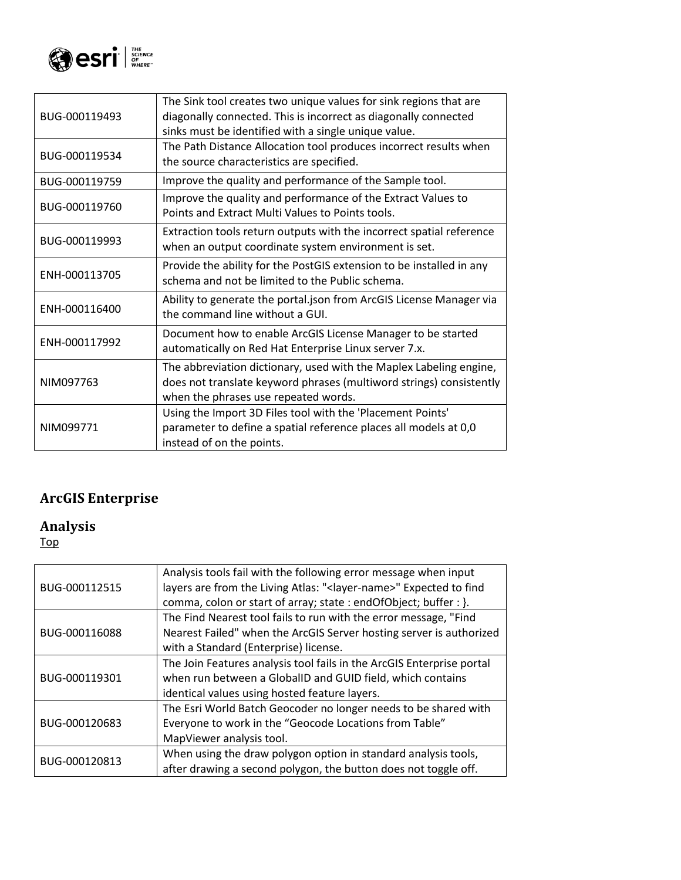

| BUG-000119493 | The Sink tool creates two unique values for sink regions that are<br>diagonally connected. This is incorrect as diagonally connected<br>sinks must be identified with a single unique value. |
|---------------|----------------------------------------------------------------------------------------------------------------------------------------------------------------------------------------------|
| BUG-000119534 | The Path Distance Allocation tool produces incorrect results when<br>the source characteristics are specified.                                                                               |
| BUG-000119759 | Improve the quality and performance of the Sample tool.                                                                                                                                      |
| BUG-000119760 | Improve the quality and performance of the Extract Values to<br>Points and Extract Multi Values to Points tools.                                                                             |
| BUG-000119993 | Extraction tools return outputs with the incorrect spatial reference<br>when an output coordinate system environment is set.                                                                 |
| ENH-000113705 | Provide the ability for the PostGIS extension to be installed in any<br>schema and not be limited to the Public schema.                                                                      |
| ENH-000116400 | Ability to generate the portal json from ArcGIS License Manager via<br>the command line without a GUL                                                                                        |
| ENH-000117992 | Document how to enable ArcGIS License Manager to be started<br>automatically on Red Hat Enterprise Linux server 7.x.                                                                         |
| NIM097763     | The abbreviation dictionary, used with the Maplex Labeling engine,<br>does not translate keyword phrases (multiword strings) consistently<br>when the phrases use repeated words.            |
| NIM099771     | Using the Import 3D Files tool with the 'Placement Points'<br>parameter to define a spatial reference places all models at 0,0<br>instead of on the points.                                  |

# <span id="page-6-0"></span>**ArcGIS Enterprise**

#### <span id="page-6-1"></span>**Analysis**

| BUG-000112515 | Analysis tools fail with the following error message when input<br>layers are from the Living Atlas: " <layer-name>" Expected to find<br/>comma, colon or start of array; state : endOfObject; buffer : }.</layer-name> |
|---------------|-------------------------------------------------------------------------------------------------------------------------------------------------------------------------------------------------------------------------|
| BUG-000116088 | The Find Nearest tool fails to run with the error message, "Find<br>Nearest Failed" when the ArcGIS Server hosting server is authorized<br>with a Standard (Enterprise) license.                                        |
| BUG-000119301 | The Join Features analysis tool fails in the ArcGIS Enterprise portal<br>when run between a GlobalID and GUID field, which contains<br>identical values using hosted feature layers.                                    |
| BUG-000120683 | The Esri World Batch Geocoder no longer needs to be shared with<br>Everyone to work in the "Geocode Locations from Table"<br>MapViewer analysis tool.                                                                   |
| BUG-000120813 | When using the draw polygon option in standard analysis tools,<br>after drawing a second polygon, the button does not toggle off.                                                                                       |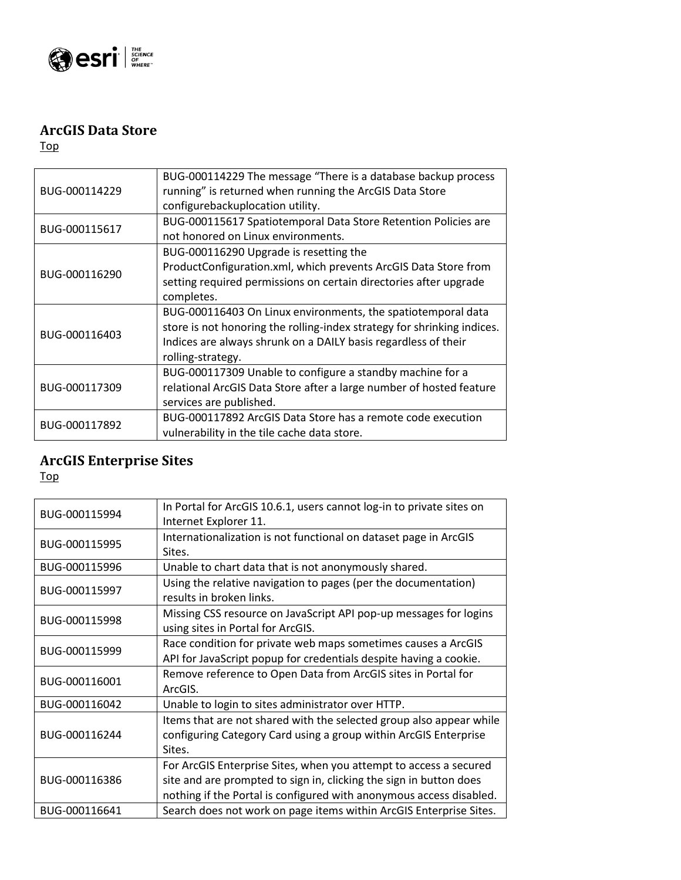

### <span id="page-7-0"></span>**ArcGIS Data Store**

[Top](#page-0-0)

| BUG-000114229 | BUG-000114229 The message "There is a database backup process           |
|---------------|-------------------------------------------------------------------------|
|               | running" is returned when running the ArcGIS Data Store                 |
|               | configurebackuplocation utility.                                        |
| BUG-000115617 | BUG-000115617 Spatiotemporal Data Store Retention Policies are          |
|               | not honored on Linux environments.                                      |
|               | BUG-000116290 Upgrade is resetting the                                  |
|               | ProductConfiguration.xml, which prevents ArcGIS Data Store from         |
| BUG-000116290 | setting required permissions on certain directories after upgrade       |
|               | completes.                                                              |
|               | BUG-000116403 On Linux environments, the spatiotemporal data            |
|               | store is not honoring the rolling-index strategy for shrinking indices. |
| BUG-000116403 | Indices are always shrunk on a DAILY basis regardless of their          |
|               | rolling-strategy.                                                       |
| BUG-000117309 | BUG-000117309 Unable to configure a standby machine for a               |
|               | relational ArcGIS Data Store after a large number of hosted feature     |
|               | services are published.                                                 |
|               | BUG-000117892 ArcGIS Data Store has a remote code execution             |
| BUG-000117892 | vulnerability in the tile cache data store.                             |

# <span id="page-7-1"></span>**ArcGIS Enterprise Sites**

| BUG-000115994 | In Portal for ArcGIS 10.6.1, users cannot log-in to private sites on |
|---------------|----------------------------------------------------------------------|
|               | Internet Explorer 11.                                                |
| BUG-000115995 | Internationalization is not functional on dataset page in ArcGIS     |
|               | Sites.                                                               |
| BUG-000115996 | Unable to chart data that is not anonymously shared.                 |
|               | Using the relative navigation to pages (per the documentation)       |
| BUG-000115997 | results in broken links.                                             |
|               | Missing CSS resource on JavaScript API pop-up messages for logins    |
| BUG-000115998 | using sites in Portal for ArcGIS.                                    |
| BUG-000115999 | Race condition for private web maps sometimes causes a ArcGIS        |
|               | API for JavaScript popup for credentials despite having a cookie.    |
|               | Remove reference to Open Data from ArcGIS sites in Portal for        |
| BUG-000116001 | ArcGIS.                                                              |
| BUG-000116042 | Unable to login to sites administrator over HTTP.                    |
|               | Items that are not shared with the selected group also appear while  |
| BUG-000116244 | configuring Category Card using a group within ArcGIS Enterprise     |
|               | Sites.                                                               |
|               | For ArcGIS Enterprise Sites, when you attempt to access a secured    |
| BUG-000116386 | site and are prompted to sign in, clicking the sign in button does   |
|               | nothing if the Portal is configured with anonymous access disabled.  |
| BUG-000116641 | Search does not work on page items within ArcGIS Enterprise Sites.   |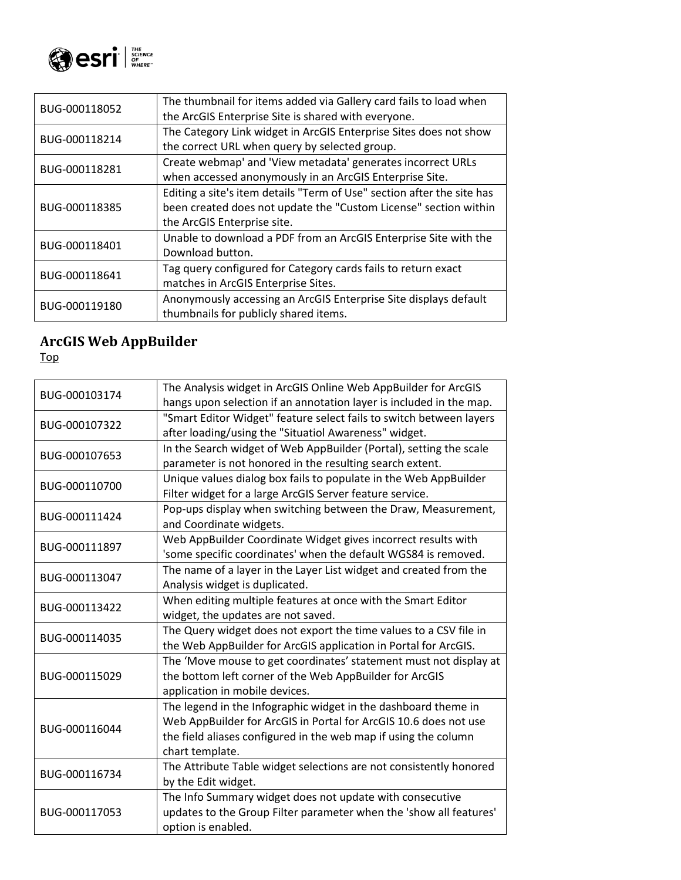

| BUG-000118052 | The thumbnail for items added via Gallery card fails to load when<br>the ArcGIS Enterprise Site is shared with everyone.                                                  |
|---------------|---------------------------------------------------------------------------------------------------------------------------------------------------------------------------|
| BUG-000118214 | The Category Link widget in ArcGIS Enterprise Sites does not show<br>the correct URL when query by selected group.                                                        |
| BUG-000118281 | Create webmap' and 'View metadata' generates incorrect URLs<br>when accessed anonymously in an ArcGIS Enterprise Site.                                                    |
| BUG-000118385 | Editing a site's item details "Term of Use" section after the site has<br>been created does not update the "Custom License" section within<br>the ArcGIS Enterprise site. |
| BUG-000118401 | Unable to download a PDF from an ArcGIS Enterprise Site with the<br>Download button.                                                                                      |
| BUG-000118641 | Tag query configured for Category cards fails to return exact<br>matches in ArcGIS Enterprise Sites.                                                                      |
| BUG-000119180 | Anonymously accessing an ArcGIS Enterprise Site displays default<br>thumbnails for publicly shared items.                                                                 |

#### <span id="page-8-0"></span>**ArcGIS Web AppBuilder**

| BUG-000103174 | The Analysis widget in ArcGIS Online Web AppBuilder for ArcGIS      |
|---------------|---------------------------------------------------------------------|
|               | hangs upon selection if an annotation layer is included in the map. |
| BUG-000107322 | "Smart Editor Widget" feature select fails to switch between layers |
|               | after loading/using the "Situatiol Awareness" widget.               |
| BUG-000107653 | In the Search widget of Web AppBuilder (Portal), setting the scale  |
|               | parameter is not honored in the resulting search extent.            |
|               | Unique values dialog box fails to populate in the Web AppBuilder    |
| BUG-000110700 | Filter widget for a large ArcGIS Server feature service.            |
|               | Pop-ups display when switching between the Draw, Measurement,       |
| BUG-000111424 | and Coordinate widgets.                                             |
|               | Web AppBuilder Coordinate Widget gives incorrect results with       |
| BUG-000111897 | 'some specific coordinates' when the default WGS84 is removed.      |
|               | The name of a layer in the Layer List widget and created from the   |
| BUG-000113047 | Analysis widget is duplicated.                                      |
|               | When editing multiple features at once with the Smart Editor        |
| BUG-000113422 | widget, the updates are not saved.                                  |
|               | The Query widget does not export the time values to a CSV file in   |
| BUG-000114035 | the Web AppBuilder for ArcGIS application in Portal for ArcGIS.     |
|               | The 'Move mouse to get coordinates' statement must not display at   |
| BUG-000115029 | the bottom left corner of the Web AppBuilder for ArcGIS             |
|               | application in mobile devices.                                      |
|               | The legend in the Infographic widget in the dashboard theme in      |
|               | Web AppBuilder for ArcGIS in Portal for ArcGIS 10.6 does not use    |
| BUG-000116044 | the field aliases configured in the web map if using the column     |
|               | chart template.                                                     |
|               | The Attribute Table widget selections are not consistently honored  |
| BUG-000116734 | by the Edit widget.                                                 |
|               | The Info Summary widget does not update with consecutive            |
| BUG-000117053 | updates to the Group Filter parameter when the 'show all features'  |
|               | option is enabled.                                                  |
|               |                                                                     |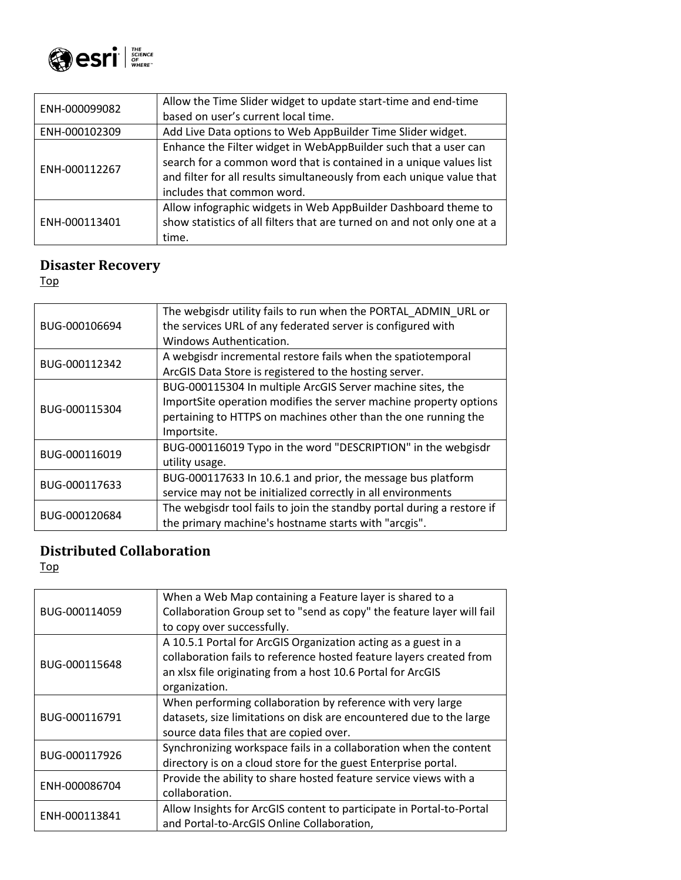

| ENH-000099082 | Allow the Time Slider widget to update start-time and end-time<br>based on user's current local time.                                                                                                                                        |
|---------------|----------------------------------------------------------------------------------------------------------------------------------------------------------------------------------------------------------------------------------------------|
| ENH-000102309 | Add Live Data options to Web AppBuilder Time Slider widget.                                                                                                                                                                                  |
| ENH-000112267 | Enhance the Filter widget in WebAppBuilder such that a user can<br>search for a common word that is contained in a unique values list<br>and filter for all results simultaneously from each unique value that<br>includes that common word. |
| ENH-000113401 | Allow infographic widgets in Web AppBuilder Dashboard theme to<br>show statistics of all filters that are turned on and not only one at a<br>time.                                                                                           |

## <span id="page-9-0"></span>**Disaster Recovery**

[Top](#page-0-0)

| BUG-000106694 | The webgisdr utility fails to run when the PORTAL ADMIN URL or<br>the services URL of any federated server is configured with<br>Windows Authentication.                                                         |
|---------------|------------------------------------------------------------------------------------------------------------------------------------------------------------------------------------------------------------------|
| BUG-000112342 | A webgisdr incremental restore fails when the spatiotemporal<br>ArcGIS Data Store is registered to the hosting server.                                                                                           |
| BUG-000115304 | BUG-000115304 In multiple ArcGIS Server machine sites, the<br>ImportSite operation modifies the server machine property options<br>pertaining to HTTPS on machines other than the one running the<br>Importsite. |
| BUG-000116019 | BUG-000116019 Typo in the word "DESCRIPTION" in the webgisdr<br>utility usage.                                                                                                                                   |
| BUG-000117633 | BUG-000117633 In 10.6.1 and prior, the message bus platform<br>service may not be initialized correctly in all environments                                                                                      |
| BUG-000120684 | The webgisdr tool fails to join the standby portal during a restore if<br>the primary machine's hostname starts with "arcgis".                                                                                   |

### <span id="page-9-1"></span>**Distributed Collaboration**

| BUG-000114059 | When a Web Map containing a Feature layer is shared to a              |
|---------------|-----------------------------------------------------------------------|
|               | Collaboration Group set to "send as copy" the feature layer will fail |
|               | to copy over successfully.                                            |
|               | A 10.5.1 Portal for ArcGIS Organization acting as a guest in a        |
|               | collaboration fails to reference hosted feature layers created from   |
| BUG-000115648 | an xlsx file originating from a host 10.6 Portal for ArcGIS           |
|               | organization.                                                         |
|               | When performing collaboration by reference with very large            |
| BUG-000116791 | datasets, size limitations on disk are encountered due to the large   |
|               | source data files that are copied over.                               |
|               | Synchronizing workspace fails in a collaboration when the content     |
| BUG-000117926 | directory is on a cloud store for the guest Enterprise portal.        |
| ENH-000086704 | Provide the ability to share hosted feature service views with a      |
|               | collaboration.                                                        |
|               | Allow Insights for ArcGIS content to participate in Portal-to-Portal  |
| ENH-000113841 | and Portal-to-ArcGIS Online Collaboration,                            |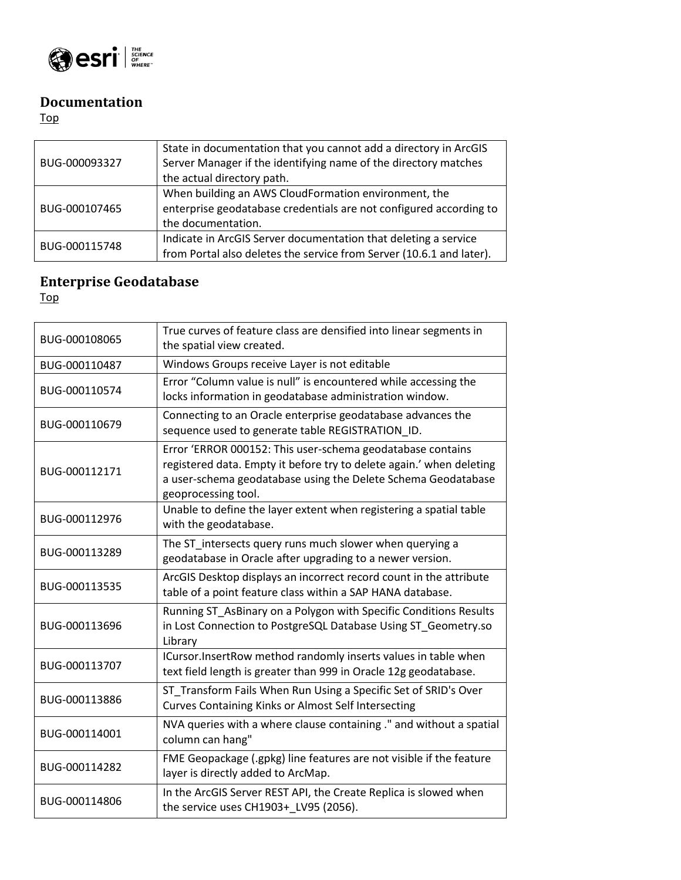

### <span id="page-10-0"></span>**Documentation**

#### [Top](#page-0-0)

| BUG-000093327 | State in documentation that you cannot add a directory in ArcGIS     |
|---------------|----------------------------------------------------------------------|
|               | Server Manager if the identifying name of the directory matches      |
|               | the actual directory path.                                           |
| BUG-000107465 | When building an AWS CloudFormation environment, the                 |
|               | enterprise geodatabase credentials are not configured according to   |
|               | the documentation.                                                   |
| BUG-000115748 | Indicate in ArcGIS Server documentation that deleting a service      |
|               | from Portal also deletes the service from Server (10.6.1 and later). |

## <span id="page-10-1"></span>**Enterprise Geodatabase**

| BUG-000108065 | True curves of feature class are densified into linear segments in<br>the spatial view created.                                                                                                                            |
|---------------|----------------------------------------------------------------------------------------------------------------------------------------------------------------------------------------------------------------------------|
| BUG-000110487 | Windows Groups receive Layer is not editable                                                                                                                                                                               |
| BUG-000110574 | Error "Column value is null" is encountered while accessing the<br>locks information in geodatabase administration window.                                                                                                 |
| BUG-000110679 | Connecting to an Oracle enterprise geodatabase advances the<br>sequence used to generate table REGISTRATION_ID.                                                                                                            |
| BUG-000112171 | Error 'ERROR 000152: This user-schema geodatabase contains<br>registered data. Empty it before try to delete again.' when deleting<br>a user-schema geodatabase using the Delete Schema Geodatabase<br>geoprocessing tool. |
| BUG-000112976 | Unable to define the layer extent when registering a spatial table<br>with the geodatabase.                                                                                                                                |
| BUG-000113289 | The ST intersects query runs much slower when querying a<br>geodatabase in Oracle after upgrading to a newer version.                                                                                                      |
| BUG-000113535 | ArcGIS Desktop displays an incorrect record count in the attribute<br>table of a point feature class within a SAP HANA database.                                                                                           |
| BUG-000113696 | Running ST_AsBinary on a Polygon with Specific Conditions Results<br>in Lost Connection to PostgreSQL Database Using ST_Geometry.so<br>Library                                                                             |
| BUG-000113707 | ICursor.InsertRow method randomly inserts values in table when<br>text field length is greater than 999 in Oracle 12g geodatabase.                                                                                         |
| BUG-000113886 | ST Transform Fails When Run Using a Specific Set of SRID's Over<br><b>Curves Containing Kinks or Almost Self Intersecting</b>                                                                                              |
| BUG-000114001 | NVA queries with a where clause containing." and without a spatial<br>column can hang"                                                                                                                                     |
| BUG-000114282 | FME Geopackage (.gpkg) line features are not visible if the feature<br>layer is directly added to ArcMap.                                                                                                                  |
| BUG-000114806 | In the ArcGIS Server REST API, the Create Replica is slowed when<br>the service uses CH1903+ LV95 (2056).                                                                                                                  |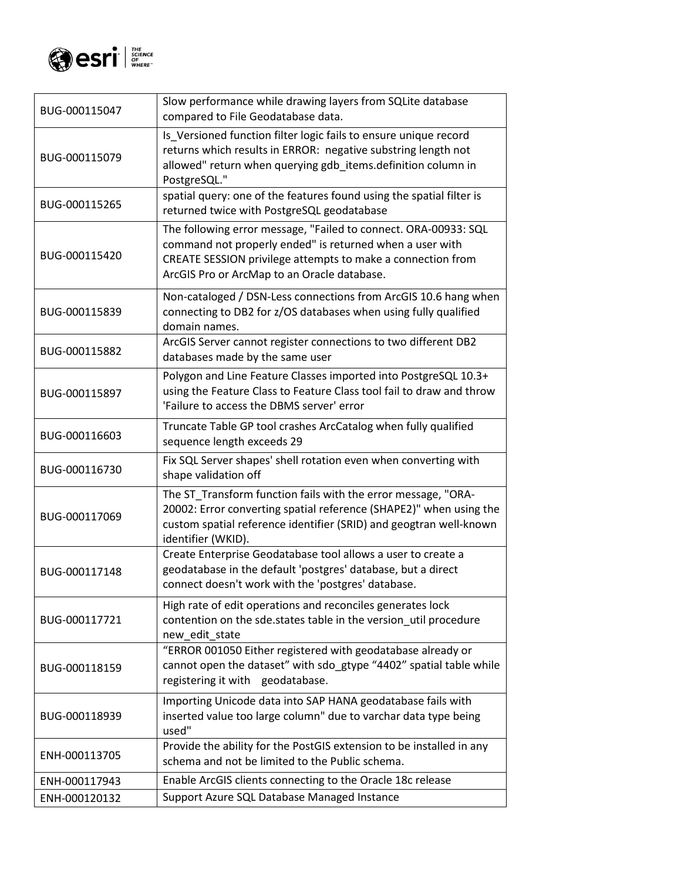

| BUG-000115047 | Slow performance while drawing layers from SQLite database<br>compared to File Geodatabase data.                                                                                                                                          |
|---------------|-------------------------------------------------------------------------------------------------------------------------------------------------------------------------------------------------------------------------------------------|
| BUG-000115079 | Is_Versioned function filter logic fails to ensure unique record<br>returns which results in ERROR: negative substring length not<br>allowed" return when querying gdb_items.definition column in<br>PostgreSQL."                         |
| BUG-000115265 | spatial query: one of the features found using the spatial filter is<br>returned twice with PostgreSQL geodatabase                                                                                                                        |
| BUG-000115420 | The following error message, "Failed to connect. ORA-00933: SQL<br>command not properly ended" is returned when a user with<br>CREATE SESSION privilege attempts to make a connection from<br>ArcGIS Pro or ArcMap to an Oracle database. |
| BUG-000115839 | Non-cataloged / DSN-Less connections from ArcGIS 10.6 hang when<br>connecting to DB2 for z/OS databases when using fully qualified<br>domain names.                                                                                       |
| BUG-000115882 | ArcGIS Server cannot register connections to two different DB2<br>databases made by the same user                                                                                                                                         |
| BUG-000115897 | Polygon and Line Feature Classes imported into PostgreSQL 10.3+<br>using the Feature Class to Feature Class tool fail to draw and throw<br>'Failure to access the DBMS server' error                                                      |
| BUG-000116603 | Truncate Table GP tool crashes ArcCatalog when fully qualified<br>sequence length exceeds 29                                                                                                                                              |
| BUG-000116730 | Fix SQL Server shapes' shell rotation even when converting with<br>shape validation off                                                                                                                                                   |
| BUG-000117069 | The ST_Transform function fails with the error message, "ORA-<br>20002: Error converting spatial reference (SHAPE2)" when using the<br>custom spatial reference identifier (SRID) and geogtran well-known<br>identifier (WKID).           |
| BUG-000117148 | Create Enterprise Geodatabase tool allows a user to create a<br>geodatabase in the default 'postgres' database, but a direct<br>connect doesn't work with the 'postgres' database.                                                        |
| BUG-000117721 | High rate of edit operations and reconciles generates lock<br>contention on the sde.states table in the version_util procedure<br>new edit state                                                                                          |
| BUG-000118159 | "ERROR 001050 Either registered with geodatabase already or<br>cannot open the dataset" with sdo_gtype "4402" spatial table while<br>registering it with geodatabase.                                                                     |
| BUG-000118939 | Importing Unicode data into SAP HANA geodatabase fails with<br>inserted value too large column" due to varchar data type being<br>used"                                                                                                   |
| ENH-000113705 | Provide the ability for the PostGIS extension to be installed in any<br>schema and not be limited to the Public schema.                                                                                                                   |
| ENH-000117943 | Enable ArcGIS clients connecting to the Oracle 18c release                                                                                                                                                                                |
| ENH-000120132 | Support Azure SQL Database Managed Instance                                                                                                                                                                                               |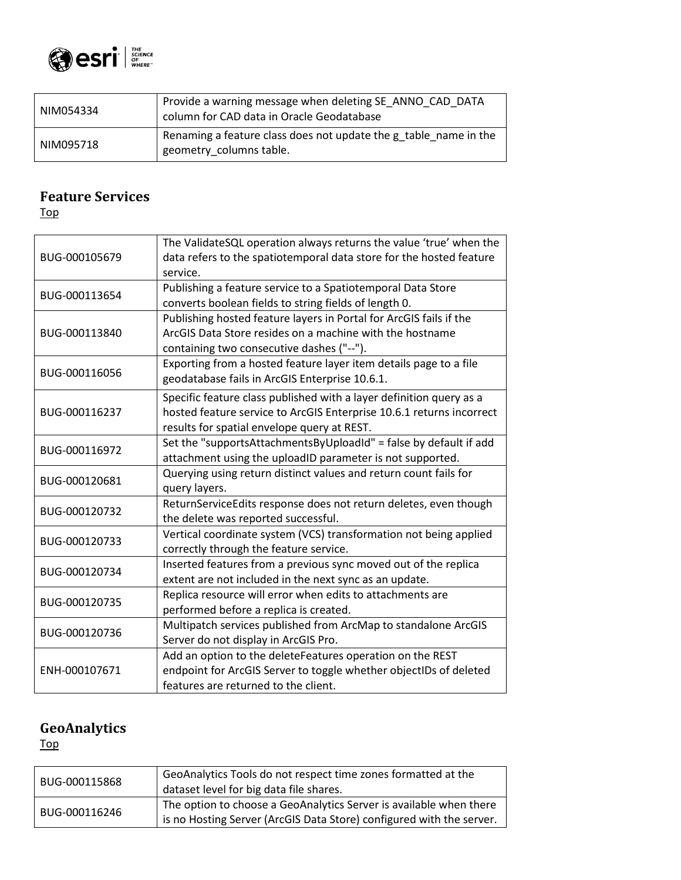

| NIM054334 | Provide a warning message when deleting SE ANNO CAD DATA<br>column for CAD data in Oracle Geodatabase |
|-----------|-------------------------------------------------------------------------------------------------------|
| NIM095718 | Renaming a feature class does not update the g table name in the<br>geometry columns table.           |

### <span id="page-12-0"></span>**Feature Services**

[Top](#page-0-0)

| BUG-000105679 | The ValidateSQL operation always returns the value 'true' when the<br>data refers to the spatiotemporal data store for the hosted feature<br>service.                                      |
|---------------|--------------------------------------------------------------------------------------------------------------------------------------------------------------------------------------------|
| BUG-000113654 | Publishing a feature service to a Spatiotemporal Data Store<br>converts boolean fields to string fields of length 0.                                                                       |
| BUG-000113840 | Publishing hosted feature layers in Portal for ArcGIS fails if the<br>ArcGIS Data Store resides on a machine with the hostname<br>containing two consecutive dashes ("--").                |
| BUG-000116056 | Exporting from a hosted feature layer item details page to a file<br>geodatabase fails in ArcGIS Enterprise 10.6.1.                                                                        |
| BUG-000116237 | Specific feature class published with a layer definition query as a<br>hosted feature service to ArcGIS Enterprise 10.6.1 returns incorrect<br>results for spatial envelope query at REST. |
| BUG-000116972 | Set the "supportsAttachmentsByUploadId" = false by default if add<br>attachment using the uploadID parameter is not supported.                                                             |
| BUG-000120681 | Querying using return distinct values and return count fails for<br>query layers.                                                                                                          |
| BUG-000120732 | ReturnServiceEdits response does not return deletes, even though<br>the delete was reported successful.                                                                                    |
| BUG-000120733 | Vertical coordinate system (VCS) transformation not being applied<br>correctly through the feature service.                                                                                |
| BUG-000120734 | Inserted features from a previous sync moved out of the replica<br>extent are not included in the next sync as an update.                                                                  |
| BUG-000120735 | Replica resource will error when edits to attachments are<br>performed before a replica is created.                                                                                        |
| BUG-000120736 | Multipatch services published from ArcMap to standalone ArcGIS<br>Server do not display in ArcGIS Pro.                                                                                     |
| ENH-000107671 | Add an option to the deleteFeatures operation on the REST<br>endpoint for ArcGIS Server to toggle whether objectIDs of deleted<br>features are returned to the client.                     |

# <span id="page-12-1"></span>**GeoAnalytics**

| BUG-000115868 | GeoAnalytics Tools do not respect time zones formatted at the<br>dataset level for big data file shares.                                   |
|---------------|--------------------------------------------------------------------------------------------------------------------------------------------|
| BUG-000116246 | The option to choose a GeoAnalytics Server is available when there<br>is no Hosting Server (ArcGIS Data Store) configured with the server. |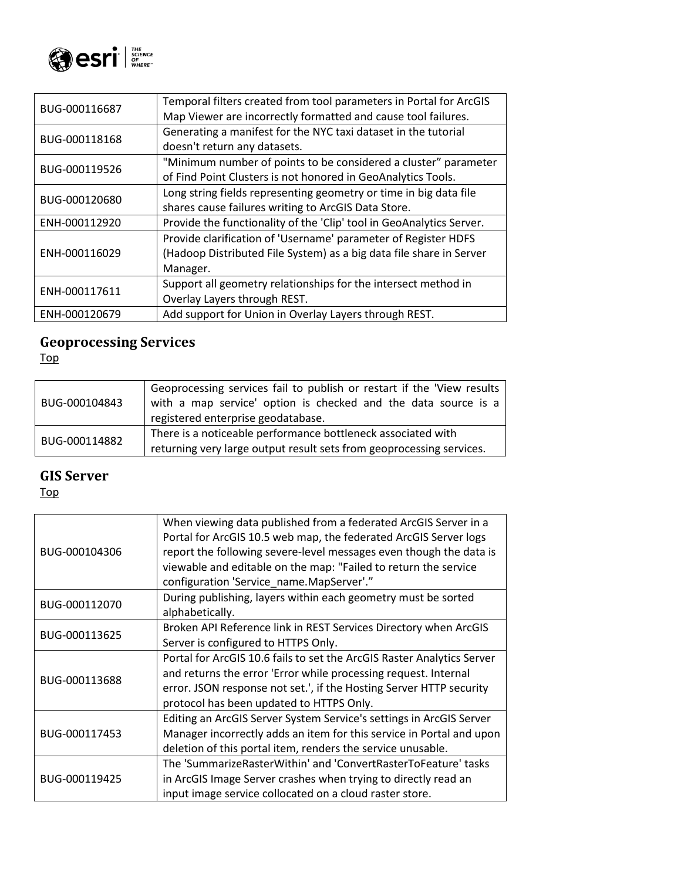

| Temporal filters created from tool parameters in Portal for ArcGIS<br>Map Viewer are incorrectly formatted and cause tool failures. |
|-------------------------------------------------------------------------------------------------------------------------------------|
| Generating a manifest for the NYC taxi dataset in the tutorial                                                                      |
| doesn't return any datasets.                                                                                                        |
| "Minimum number of points to be considered a cluster" parameter                                                                     |
| of Find Point Clusters is not honored in GeoAnalytics Tools.                                                                        |
| Long string fields representing geometry or time in big data file                                                                   |
| shares cause failures writing to ArcGIS Data Store.                                                                                 |
| Provide the functionality of the 'Clip' tool in GeoAnalytics Server.                                                                |
| Provide clarification of 'Username' parameter of Register HDFS                                                                      |
| (Hadoop Distributed File System) as a big data file share in Server                                                                 |
| Manager.                                                                                                                            |
| Support all geometry relationships for the intersect method in                                                                      |
| Overlay Layers through REST.                                                                                                        |
| Add support for Union in Overlay Layers through REST.                                                                               |
|                                                                                                                                     |

#### <span id="page-13-0"></span>**Geoprocessing Services**

[Top](#page-0-0)

| BUG-000104843 | Geoprocessing services fail to publish or restart if the 'View results<br>with a map service' option is checked and the data source is a<br>registered enterprise geodatabase. |
|---------------|--------------------------------------------------------------------------------------------------------------------------------------------------------------------------------|
| BUG-000114882 | There is a noticeable performance bottleneck associated with<br>returning very large output result sets from geoprocessing services.                                           |

### <span id="page-13-1"></span>**GIS Server**

| BUG-000104306 | When viewing data published from a federated ArcGIS Server in a<br>Portal for ArcGIS 10.5 web map, the federated ArcGIS Server logs<br>report the following severe-level messages even though the data is<br>viewable and editable on the map: "Failed to return the service<br>configuration 'Service_name.MapServer'." |
|---------------|--------------------------------------------------------------------------------------------------------------------------------------------------------------------------------------------------------------------------------------------------------------------------------------------------------------------------|
| BUG-000112070 | During publishing, layers within each geometry must be sorted<br>alphabetically.                                                                                                                                                                                                                                         |
| BUG-000113625 | Broken API Reference link in REST Services Directory when ArcGIS<br>Server is configured to HTTPS Only.                                                                                                                                                                                                                  |
| BUG-000113688 | Portal for ArcGIS 10.6 fails to set the ArcGIS Raster Analytics Server<br>and returns the error 'Error while processing request. Internal<br>error. JSON response not set.', if the Hosting Server HTTP security<br>protocol has been updated to HTTPS Only.                                                             |
| BUG-000117453 | Editing an ArcGIS Server System Service's settings in ArcGIS Server<br>Manager incorrectly adds an item for this service in Portal and upon<br>deletion of this portal item, renders the service unusable.                                                                                                               |
| BUG-000119425 | The 'SummarizeRasterWithin' and 'ConvertRasterToFeature' tasks<br>in ArcGIS Image Server crashes when trying to directly read an<br>input image service collocated on a cloud raster store.                                                                                                                              |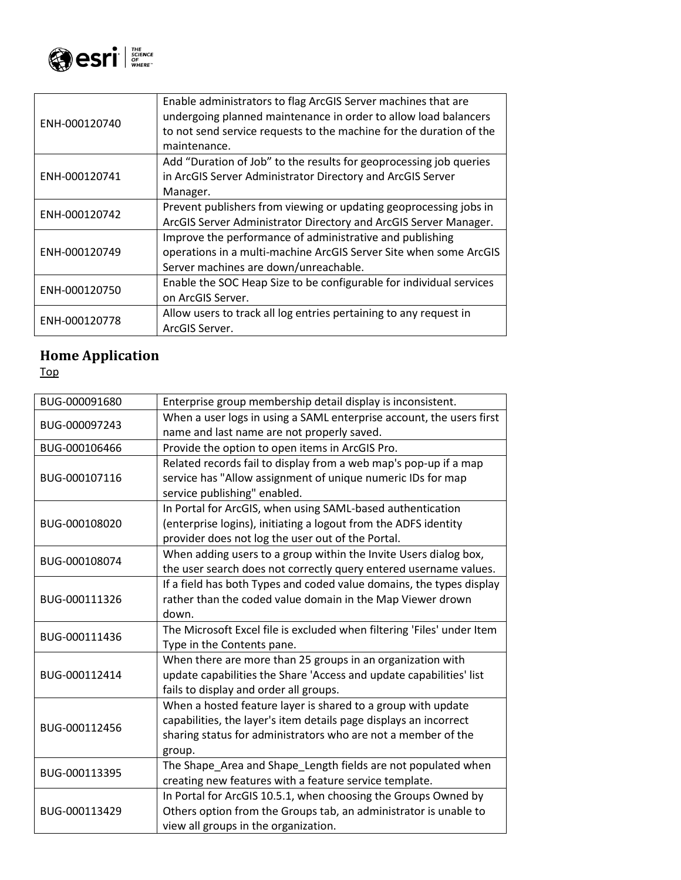

| ENH-000120740 | Enable administrators to flag ArcGIS Server machines that are       |
|---------------|---------------------------------------------------------------------|
|               | undergoing planned maintenance in order to allow load balancers     |
|               | to not send service requests to the machine for the duration of the |
|               | maintenance.                                                        |
|               | Add "Duration of Job" to the results for geoprocessing job queries  |
| ENH-000120741 | in ArcGIS Server Administrator Directory and ArcGIS Server          |
|               | Manager.                                                            |
|               | Prevent publishers from viewing or updating geoprocessing jobs in   |
| ENH-000120742 | ArcGIS Server Administrator Directory and ArcGIS Server Manager.    |
|               | Improve the performance of administrative and publishing            |
| ENH-000120749 | operations in a multi-machine ArcGIS Server Site when some ArcGIS   |
|               | Server machines are down/unreachable.                               |
| ENH-000120750 | Enable the SOC Heap Size to be configurable for individual services |
|               | on ArcGIS Server.                                                   |
|               | Allow users to track all log entries pertaining to any request in   |
| ENH-000120778 | ArcGIS Server.                                                      |

# <span id="page-14-0"></span>**Home Application**

| BUG-000091680 | Enterprise group membership detail display is inconsistent.            |
|---------------|------------------------------------------------------------------------|
| BUG-000097243 | When a user logs in using a SAML enterprise account, the users first   |
|               | name and last name are not properly saved.                             |
| BUG-000106466 | Provide the option to open items in ArcGIS Pro.                        |
|               | Related records fail to display from a web map's pop-up if a map       |
| BUG-000107116 | service has "Allow assignment of unique numeric IDs for map            |
|               | service publishing" enabled.                                           |
|               | In Portal for ArcGIS, when using SAML-based authentication             |
| BUG-000108020 | (enterprise logins), initiating a logout from the ADFS identity        |
|               | provider does not log the user out of the Portal.                      |
| BUG-000108074 | When adding users to a group within the Invite Users dialog box,       |
|               | the user search does not correctly query entered username values.      |
|               | If a field has both Types and coded value domains, the types display   |
| BUG-000111326 | rather than the coded value domain in the Map Viewer drown             |
|               | down.                                                                  |
| BUG-000111436 | The Microsoft Excel file is excluded when filtering 'Files' under Item |
|               | Type in the Contents pane.                                             |
|               | When there are more than 25 groups in an organization with             |
| BUG-000112414 | update capabilities the Share 'Access and update capabilities' list    |
|               | fails to display and order all groups.                                 |
|               | When a hosted feature layer is shared to a group with update           |
| BUG-000112456 | capabilities, the layer's item details page displays an incorrect      |
|               | sharing status for administrators who are not a member of the          |
|               | group.                                                                 |
| BUG-000113395 | The Shape_Area and Shape_Length fields are not populated when          |
|               | creating new features with a feature service template.                 |
|               | In Portal for ArcGIS 10.5.1, when choosing the Groups Owned by         |
| BUG-000113429 | Others option from the Groups tab, an administrator is unable to       |
|               | view all groups in the organization.                                   |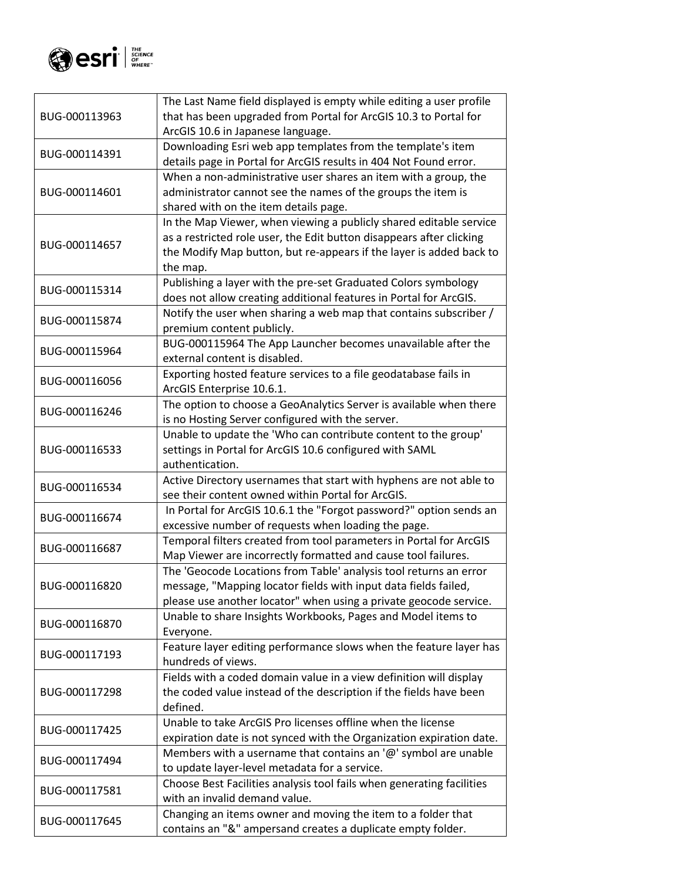

|               | The Last Name field displayed is empty while editing a user profile   |
|---------------|-----------------------------------------------------------------------|
| BUG-000113963 | that has been upgraded from Portal for ArcGIS 10.3 to Portal for      |
|               | ArcGIS 10.6 in Japanese language.                                     |
| BUG-000114391 | Downloading Esri web app templates from the template's item           |
|               | details page in Portal for ArcGIS results in 404 Not Found error.     |
|               | When a non-administrative user shares an item with a group, the       |
| BUG-000114601 | administrator cannot see the names of the groups the item is          |
|               | shared with on the item details page.                                 |
|               | In the Map Viewer, when viewing a publicly shared editable service    |
| BUG-000114657 | as a restricted role user, the Edit button disappears after clicking  |
|               | the Modify Map button, but re-appears if the layer is added back to   |
|               | the map.                                                              |
| BUG-000115314 | Publishing a layer with the pre-set Graduated Colors symbology        |
|               | does not allow creating additional features in Portal for ArcGIS.     |
|               | Notify the user when sharing a web map that contains subscriber /     |
| BUG-000115874 | premium content publicly.                                             |
|               | BUG-000115964 The App Launcher becomes unavailable after the          |
| BUG-000115964 | external content is disabled.                                         |
| BUG-000116056 | Exporting hosted feature services to a file geodatabase fails in      |
|               | ArcGIS Enterprise 10.6.1.                                             |
| BUG-000116246 | The option to choose a GeoAnalytics Server is available when there    |
|               | is no Hosting Server configured with the server.                      |
|               | Unable to update the 'Who can contribute content to the group'        |
| BUG-000116533 | settings in Portal for ArcGIS 10.6 configured with SAML               |
|               | authentication.                                                       |
| BUG-000116534 | Active Directory usernames that start with hyphens are not able to    |
|               | see their content owned within Portal for ArcGIS.                     |
| BUG-000116674 | In Portal for ArcGIS 10.6.1 the "Forgot password?" option sends an    |
|               | excessive number of requests when loading the page.                   |
| BUG-000116687 | Temporal filters created from tool parameters in Portal for ArcGIS    |
|               | Map Viewer are incorrectly formatted and cause tool failures.         |
|               | The 'Geocode Locations from Table' analysis tool returns an error     |
| BUG-000116820 | message, "Mapping locator fields with input data fields failed,       |
|               | please use another locator" when using a private geocode service.     |
| BUG-000116870 | Unable to share Insights Workbooks, Pages and Model items to          |
|               | Everyone.                                                             |
| BUG-000117193 | Feature layer editing performance slows when the feature layer has    |
|               | hundreds of views.                                                    |
|               | Fields with a coded domain value in a view definition will display    |
| BUG-000117298 | the coded value instead of the description if the fields have been    |
|               | defined.                                                              |
| BUG-000117425 | Unable to take ArcGIS Pro licenses offline when the license           |
|               | expiration date is not synced with the Organization expiration date.  |
| BUG-000117494 | Members with a username that contains an $\omega$ symbol are unable   |
|               | to update layer-level metadata for a service.                         |
| BUG-000117581 | Choose Best Facilities analysis tool fails when generating facilities |
|               | with an invalid demand value.                                         |
| BUG-000117645 | Changing an items owner and moving the item to a folder that          |
|               | contains an "&" ampersand creates a duplicate empty folder.           |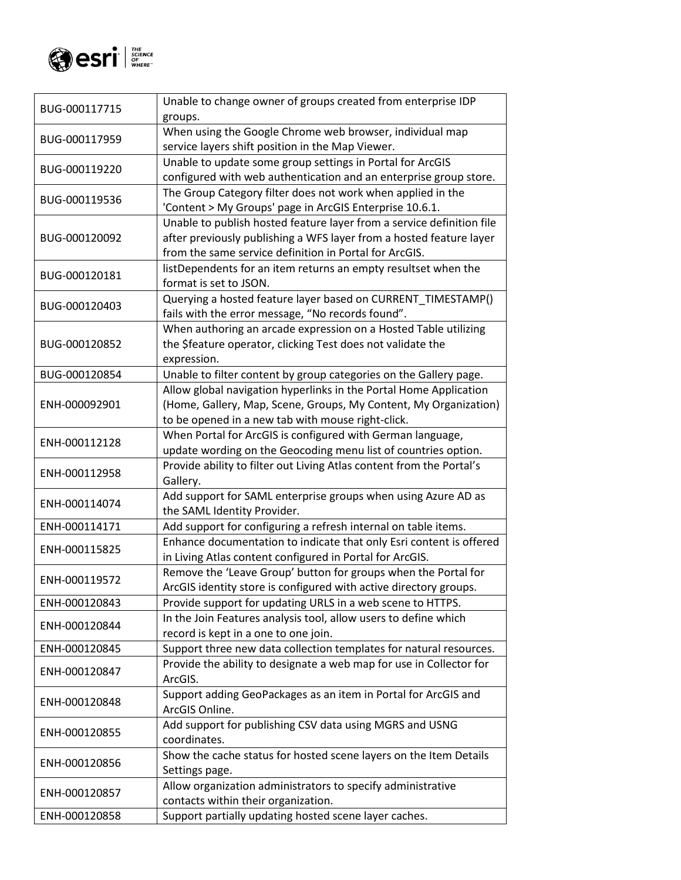

| BUG-000117715 | Unable to change owner of groups created from enterprise IDP                                                 |
|---------------|--------------------------------------------------------------------------------------------------------------|
|               | groups.                                                                                                      |
| BUG-000117959 | When using the Google Chrome web browser, individual map<br>service layers shift position in the Map Viewer. |
|               | Unable to update some group settings in Portal for ArcGIS                                                    |
| BUG-000119220 | configured with web authentication and an enterprise group store.                                            |
|               | The Group Category filter does not work when applied in the                                                  |
| BUG-000119536 | 'Content > My Groups' page in ArcGIS Enterprise 10.6.1.                                                      |
|               | Unable to publish hosted feature layer from a service definition file                                        |
| BUG-000120092 | after previously publishing a WFS layer from a hosted feature layer                                          |
|               | from the same service definition in Portal for ArcGIS.                                                       |
|               | listDependents for an item returns an empty resultset when the                                               |
| BUG-000120181 | format is set to JSON.                                                                                       |
|               | Querying a hosted feature layer based on CURRENT_TIMESTAMP()                                                 |
| BUG-000120403 | fails with the error message, "No records found".                                                            |
|               | When authoring an arcade expression on a Hosted Table utilizing                                              |
| BUG-000120852 | the \$feature operator, clicking Test does not validate the                                                  |
|               | expression.                                                                                                  |
| BUG-000120854 | Unable to filter content by group categories on the Gallery page.                                            |
|               | Allow global navigation hyperlinks in the Portal Home Application                                            |
| ENH-000092901 | (Home, Gallery, Map, Scene, Groups, My Content, My Organization)                                             |
|               | to be opened in a new tab with mouse right-click.                                                            |
|               |                                                                                                              |
| ENH-000112128 | When Portal for ArcGIS is configured with German language,                                                   |
|               | update wording on the Geocoding menu list of countries option.                                               |
| ENH-000112958 | Provide ability to filter out Living Atlas content from the Portal's<br>Gallery.                             |
|               | Add support for SAML enterprise groups when using Azure AD as                                                |
| ENH-000114074 | the SAML Identity Provider.                                                                                  |
| ENH-000114171 | Add support for configuring a refresh internal on table items.                                               |
|               | Enhance documentation to indicate that only Esri content is offered                                          |
| ENH-000115825 | in Living Atlas content configured in Portal for ArcGIS.                                                     |
|               | Remove the 'Leave Group' button for groups when the Portal for                                               |
| ENH-000119572 | ArcGIS identity store is configured with active directory groups.                                            |
| ENH-000120843 | Provide support for updating URLS in a web scene to HTTPS.                                                   |
|               | In the Join Features analysis tool, allow users to define which                                              |
| ENH-000120844 | record is kept in a one to one join.                                                                         |
| ENH-000120845 | Support three new data collection templates for natural resources.                                           |
|               | Provide the ability to designate a web map for use in Collector for                                          |
| ENH-000120847 | ArcGIS.                                                                                                      |
|               | Support adding GeoPackages as an item in Portal for ArcGIS and                                               |
| ENH-000120848 | ArcGIS Online.                                                                                               |
|               | Add support for publishing CSV data using MGRS and USNG                                                      |
| ENH-000120855 | coordinates.                                                                                                 |
|               | Show the cache status for hosted scene layers on the Item Details                                            |
| ENH-000120856 | Settings page.                                                                                               |
|               | Allow organization administrators to specify administrative                                                  |
| ENH-000120857 | contacts within their organization.                                                                          |
| ENH-000120858 | Support partially updating hosted scene layer caches.                                                        |
|               |                                                                                                              |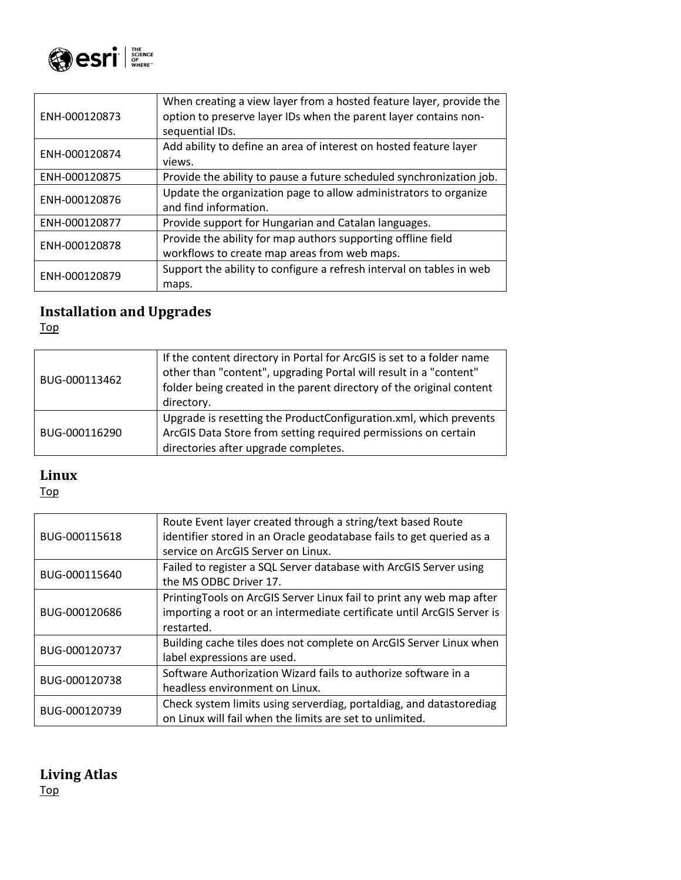

| When creating a view layer from a hosted feature layer, provide the  |
|----------------------------------------------------------------------|
| option to preserve layer IDs when the parent layer contains non-     |
| sequential IDs.                                                      |
| Add ability to define an area of interest on hosted feature layer    |
| views.                                                               |
| Provide the ability to pause a future scheduled synchronization job. |
| Update the organization page to allow administrators to organize     |
| and find information.                                                |
| Provide support for Hungarian and Catalan languages.                 |
| Provide the ability for map authors supporting offline field         |
| workflows to create map areas from web maps.                         |
| Support the ability to configure a refresh interval on tables in web |
| maps.                                                                |
|                                                                      |

# <span id="page-17-0"></span>**Installation and Upgrades**

[Top](#page-0-0)

| BUG-000113462 | If the content directory in Portal for ArcGIS is set to a folder name<br>other than "content", upgrading Portal will result in a "content"<br>folder being created in the parent directory of the original content<br>directory. |
|---------------|----------------------------------------------------------------------------------------------------------------------------------------------------------------------------------------------------------------------------------|
| BUG-000116290 | Upgrade is resetting the ProductConfiguration.xml, which prevents<br>ArcGIS Data Store from setting required permissions on certain<br>directories after upgrade completes.                                                      |

### <span id="page-17-1"></span>**Linux**

[Top](#page-0-0)

| BUG-000115618 | Route Event layer created through a string/text based Route<br>identifier stored in an Oracle geodatabase fails to get queried as a |
|---------------|-------------------------------------------------------------------------------------------------------------------------------------|
|               | service on ArcGIS Server on Linux.                                                                                                  |
| BUG-000115640 | Failed to register a SQL Server database with ArcGIS Server using                                                                   |
|               | the MS ODBC Driver 17.                                                                                                              |
|               | Printing Tools on ArcGIS Server Linux fail to print any web map after                                                               |
| BUG-000120686 | importing a root or an intermediate certificate until ArcGIS Server is                                                              |
|               | restarted.                                                                                                                          |
| BUG-000120737 | Building cache tiles does not complete on ArcGIS Server Linux when                                                                  |
|               | label expressions are used.                                                                                                         |
| BUG-000120738 | Software Authorization Wizard fails to authorize software in a                                                                      |
|               | headless environment on Linux.                                                                                                      |
| BUG-000120739 | Check system limits using serverdiag, portaldiag, and datastorediag                                                                 |
|               | on Linux will fail when the limits are set to unlimited.                                                                            |

### <span id="page-17-2"></span>**Living Atlas** [Top](#page-0-0)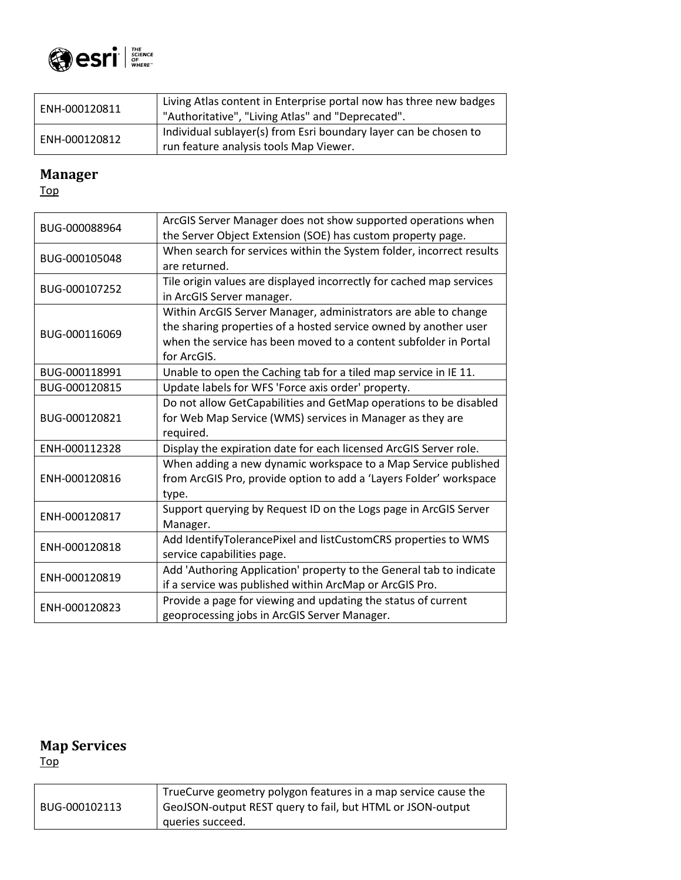

| ENH-000120811 | Living Atlas content in Enterprise portal now has three new badges<br>"Authoritative", "Living Atlas" and "Deprecated". |
|---------------|-------------------------------------------------------------------------------------------------------------------------|
| ENH-000120812 | Individual sublayer(s) from Esri boundary layer can be chosen to<br>run feature analysis tools Map Viewer.              |

## <span id="page-18-0"></span>**Manager**

[Top](#page-0-0)

| BUG-000088964 | ArcGIS Server Manager does not show supported operations when        |
|---------------|----------------------------------------------------------------------|
|               | the Server Object Extension (SOE) has custom property page.          |
| BUG-000105048 | When search for services within the System folder, incorrect results |
|               | are returned.                                                        |
| BUG-000107252 | Tile origin values are displayed incorrectly for cached map services |
|               | in ArcGIS Server manager.                                            |
|               | Within ArcGIS Server Manager, administrators are able to change      |
| BUG-000116069 | the sharing properties of a hosted service owned by another user     |
|               | when the service has been moved to a content subfolder in Portal     |
|               | for ArcGIS.                                                          |
| BUG-000118991 | Unable to open the Caching tab for a tiled map service in IE 11.     |
| BUG-000120815 | Update labels for WFS 'Force axis order' property.                   |
|               | Do not allow GetCapabilities and GetMap operations to be disabled    |
| BUG-000120821 | for Web Map Service (WMS) services in Manager as they are            |
|               | required.                                                            |
| ENH-000112328 | Display the expiration date for each licensed ArcGIS Server role.    |
|               | When adding a new dynamic workspace to a Map Service published       |
| ENH-000120816 | from ArcGIS Pro, provide option to add a 'Layers Folder' workspace   |
|               | type.                                                                |
| ENH-000120817 | Support querying by Request ID on the Logs page in ArcGIS Server     |
|               | Manager.                                                             |
| ENH-000120818 | Add IdentifyTolerancePixel and listCustomCRS properties to WMS       |
|               | service capabilities page.                                           |
| ENH-000120819 | Add 'Authoring Application' property to the General tab to indicate  |
|               | if a service was published within ArcMap or ArcGIS Pro.              |
| ENH-000120823 | Provide a page for viewing and updating the status of current        |
|               | geoprocessing jobs in ArcGIS Server Manager.                         |

# <span id="page-18-1"></span>**Map Services**

|               | TrueCurve geometry polygon features in a map service cause the |
|---------------|----------------------------------------------------------------|
| BUG-000102113 | GeoJSON-output REST query to fail, but HTML or JSON-output     |
|               | queries succeed.                                               |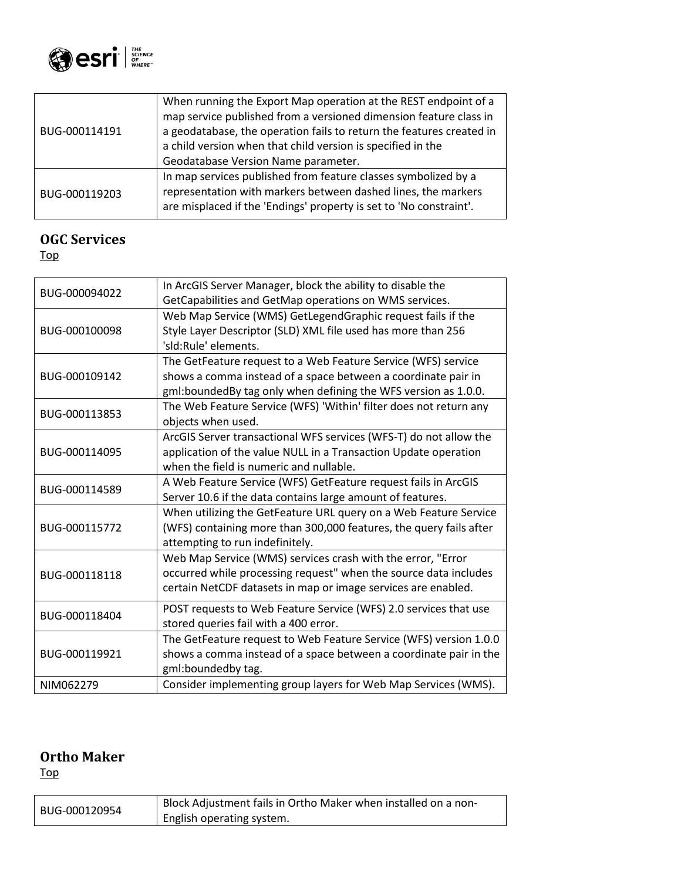

| BUG-000114191 | When running the Export Map operation at the REST endpoint of a<br>map service published from a versioned dimension feature class in<br>a geodatabase, the operation fails to return the features created in<br>a child version when that child version is specified in the<br>Geodatabase Version Name parameter. |
|---------------|--------------------------------------------------------------------------------------------------------------------------------------------------------------------------------------------------------------------------------------------------------------------------------------------------------------------|
| BUG-000119203 | In map services published from feature classes symbolized by a<br>representation with markers between dashed lines, the markers<br>are misplaced if the 'Endings' property is set to 'No constraint'.                                                                                                              |

### <span id="page-19-0"></span>**OGC Services**

[Top](#page-0-0)

| BUG-000094022 | In ArcGIS Server Manager, block the ability to disable the         |
|---------------|--------------------------------------------------------------------|
|               | GetCapabilities and GetMap operations on WMS services.             |
|               | Web Map Service (WMS) GetLegendGraphic request fails if the        |
| BUG-000100098 | Style Layer Descriptor (SLD) XML file used has more than 256       |
|               | 'sld:Rule' elements.                                               |
|               | The GetFeature request to a Web Feature Service (WFS) service      |
| BUG-000109142 | shows a comma instead of a space between a coordinate pair in      |
|               | gml:boundedBy tag only when defining the WFS version as 1.0.0.     |
| BUG-000113853 | The Web Feature Service (WFS) 'Within' filter does not return any  |
|               | objects when used.                                                 |
|               | ArcGIS Server transactional WFS services (WFS-T) do not allow the  |
| BUG-000114095 | application of the value NULL in a Transaction Update operation    |
|               | when the field is numeric and nullable.                            |
|               | A Web Feature Service (WFS) GetFeature request fails in ArcGIS     |
| BUG-000114589 | Server 10.6 if the data contains large amount of features.         |
|               | When utilizing the GetFeature URL query on a Web Feature Service   |
| BUG-000115772 | (WFS) containing more than 300,000 features, the query fails after |
|               | attempting to run indefinitely.                                    |
|               | Web Map Service (WMS) services crash with the error, "Error        |
| BUG-000118118 | occurred while processing request" when the source data includes   |
|               | certain NetCDF datasets in map or image services are enabled.      |
|               | POST requests to Web Feature Service (WFS) 2.0 services that use   |
| BUG-000118404 | stored queries fail with a 400 error.                              |
|               | The GetFeature request to Web Feature Service (WFS) version 1.0.0  |
| BUG-000119921 | shows a comma instead of a space between a coordinate pair in the  |
|               | gml:boundedby tag.                                                 |
| NIM062279     | Consider implementing group layers for Web Map Services (WMS).     |

### <span id="page-19-1"></span>**Ortho Maker**

| BUG-000120954 | Block Adjustment fails in Ortho Maker when installed on a non- |
|---------------|----------------------------------------------------------------|
|               | English operating system.                                      |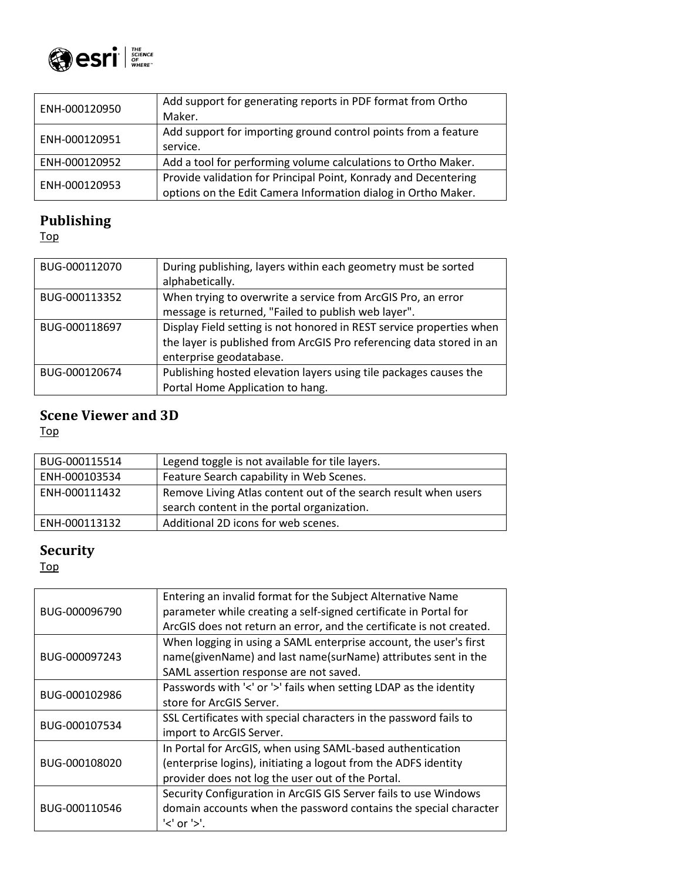

| ENH-000120950 | Add support for generating reports in PDF format from Ortho     |
|---------------|-----------------------------------------------------------------|
|               | Maker.                                                          |
| ENH-000120951 | Add support for importing ground control points from a feature  |
|               | service.                                                        |
| ENH-000120952 | Add a tool for performing volume calculations to Ortho Maker.   |
| ENH-000120953 | Provide validation for Principal Point, Konrady and Decentering |
|               | options on the Edit Camera Information dialog in Ortho Maker.   |

# <span id="page-20-0"></span>**Publishing**

[Top](#page-0-0)

| BUG-000112070 | During publishing, layers within each geometry must be sorted<br>alphabetically.                                                                                        |
|---------------|-------------------------------------------------------------------------------------------------------------------------------------------------------------------------|
| BUG-000113352 | When trying to overwrite a service from ArcGIS Pro, an error<br>message is returned, "Failed to publish web layer".                                                     |
| BUG-000118697 | Display Field setting is not honored in REST service properties when<br>the layer is published from ArcGIS Pro referencing data stored in an<br>enterprise geodatabase. |
| BUG-000120674 | Publishing hosted elevation layers using tile packages causes the<br>Portal Home Application to hang.                                                                   |

### <span id="page-20-1"></span>**Scene Viewer and 3D**

[Top](#page-0-0)

| BUG-000115514 | Legend toggle is not available for tile layers.                                                               |
|---------------|---------------------------------------------------------------------------------------------------------------|
| ENH-000103534 | Feature Search capability in Web Scenes.                                                                      |
| ENH-000111432 | Remove Living Atlas content out of the search result when users<br>search content in the portal organization. |
| ENH-000113132 | Additional 2D icons for web scenes.                                                                           |

## <span id="page-20-2"></span>**Security**

| BUG-000096790 | Entering an invalid format for the Subject Alternative Name          |
|---------------|----------------------------------------------------------------------|
|               | parameter while creating a self-signed certificate in Portal for     |
|               | ArcGIS does not return an error, and the certificate is not created. |
|               | When logging in using a SAML enterprise account, the user's first    |
| BUG-000097243 | name(givenName) and last name(surName) attributes sent in the        |
|               | SAML assertion response are not saved.                               |
|               | Passwords with '<' or '>' fails when setting LDAP as the identity    |
| BUG-000102986 | store for ArcGIS Server.                                             |
|               | SSL Certificates with special characters in the password fails to    |
| BUG-000107534 | import to ArcGIS Server.                                             |
|               | In Portal for ArcGIS, when using SAML-based authentication           |
| BUG-000108020 | (enterprise logins), initiating a logout from the ADFS identity      |
|               | provider does not log the user out of the Portal.                    |
| BUG-000110546 | Security Configuration in ArcGIS GIS Server fails to use Windows     |
|               | domain accounts when the password contains the special character     |
|               | $'$ or $'$ $>$ '.                                                    |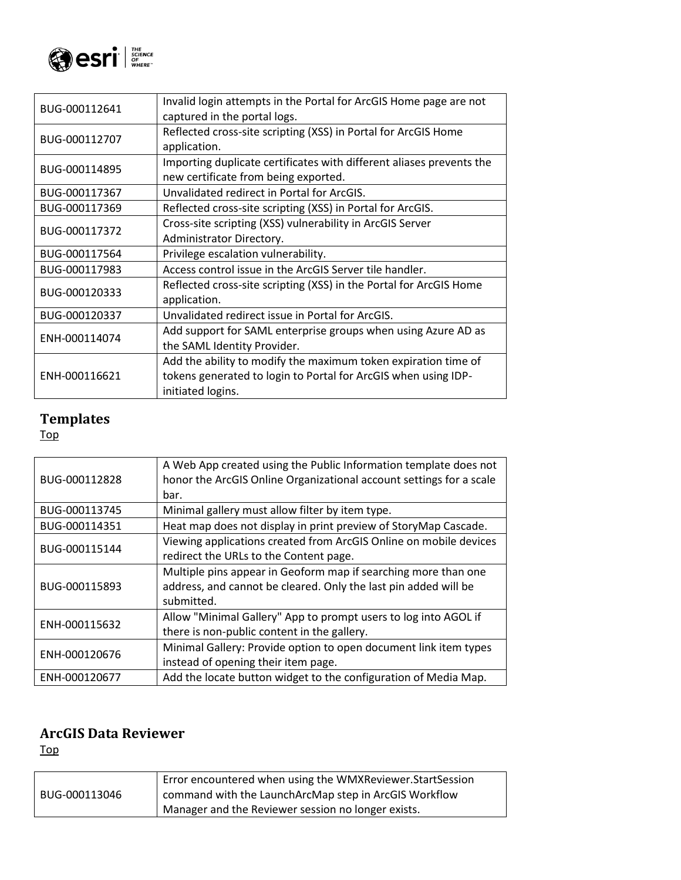

| BUG-000112641 | Invalid login attempts in the Portal for ArcGIS Home page are not<br>captured in the portal logs.                                                     |
|---------------|-------------------------------------------------------------------------------------------------------------------------------------------------------|
| BUG-000112707 | Reflected cross-site scripting (XSS) in Portal for ArcGIS Home<br>application.                                                                        |
| BUG-000114895 | Importing duplicate certificates with different aliases prevents the<br>new certificate from being exported.                                          |
| BUG-000117367 | Unvalidated redirect in Portal for ArcGIS.                                                                                                            |
| BUG-000117369 | Reflected cross-site scripting (XSS) in Portal for ArcGIS.                                                                                            |
| BUG-000117372 | Cross-site scripting (XSS) vulnerability in ArcGIS Server<br>Administrator Directory.                                                                 |
| BUG-000117564 | Privilege escalation vulnerability.                                                                                                                   |
| BUG-000117983 | Access control issue in the ArcGIS Server tile handler.                                                                                               |
| BUG-000120333 | Reflected cross-site scripting (XSS) in the Portal for ArcGIS Home<br>application.                                                                    |
| BUG-000120337 | Unvalidated redirect issue in Portal for ArcGIS.                                                                                                      |
| ENH-000114074 | Add support for SAML enterprise groups when using Azure AD as<br>the SAML Identity Provider.                                                          |
| ENH-000116621 | Add the ability to modify the maximum token expiration time of<br>tokens generated to login to Portal for ArcGIS when using IDP-<br>initiated logins. |

#### <span id="page-21-0"></span>**Templates**

[Top](#page-0-0)

| BUG-000112828 | A Web App created using the Public Information template does not<br>honor the ArcGIS Online Organizational account settings for a scale<br>bar. |
|---------------|-------------------------------------------------------------------------------------------------------------------------------------------------|
| BUG-000113745 | Minimal gallery must allow filter by item type.                                                                                                 |
| BUG-000114351 | Heat map does not display in print preview of StoryMap Cascade.                                                                                 |
| BUG-000115144 | Viewing applications created from ArcGIS Online on mobile devices<br>redirect the URLs to the Content page.                                     |
| BUG-000115893 | Multiple pins appear in Geoform map if searching more than one<br>address, and cannot be cleared. Only the last pin added will be<br>submitted. |
| ENH-000115632 | Allow "Minimal Gallery" App to prompt users to log into AGOL if<br>there is non-public content in the gallery.                                  |
| ENH-000120676 | Minimal Gallery: Provide option to open document link item types<br>instead of opening their item page.                                         |
| ENH-000120677 | Add the locate button widget to the configuration of Media Map.                                                                                 |

### <span id="page-21-1"></span>**ArcGIS Data Reviewer**

| BUG-000113046 | Error encountered when using the WMXReviewer.StartSession |
|---------------|-----------------------------------------------------------|
|               | command with the LaunchArcMap step in ArcGIS Workflow     |
|               | Manager and the Reviewer session no longer exists.        |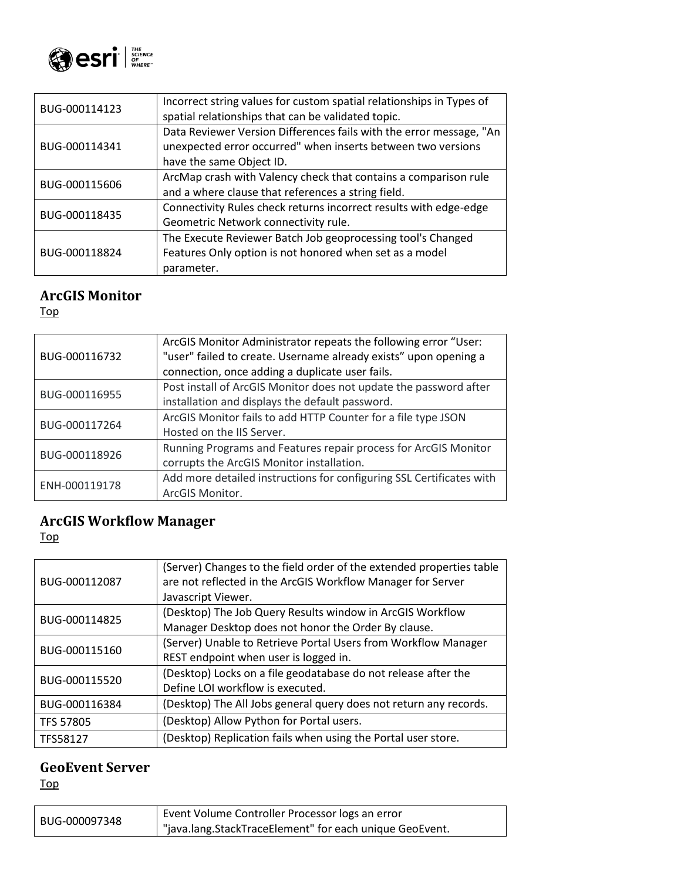

| BUG-000114123 | Incorrect string values for custom spatial relationships in Types of<br>spatial relationships that can be validated topic.                                      |
|---------------|-----------------------------------------------------------------------------------------------------------------------------------------------------------------|
| BUG-000114341 | Data Reviewer Version Differences fails with the error message, "An<br>unexpected error occurred" when inserts between two versions<br>have the same Object ID. |
| BUG-000115606 | ArcMap crash with Valency check that contains a comparison rule<br>and a where clause that references a string field.                                           |
| BUG-000118435 | Connectivity Rules check returns incorrect results with edge-edge<br>Geometric Network connectivity rule.                                                       |
| BUG-000118824 | The Execute Reviewer Batch Job geoprocessing tool's Changed<br>Features Only option is not honored when set as a model<br>parameter.                            |

### <span id="page-22-0"></span>**ArcGIS Monitor**

[Top](#page-0-0)

| BUG-000116732 | ArcGIS Monitor Administrator repeats the following error "User:<br>"user" failed to create. Username already exists" upon opening a |
|---------------|-------------------------------------------------------------------------------------------------------------------------------------|
|               | connection, once adding a duplicate user fails.                                                                                     |
| BUG-000116955 | Post install of ArcGIS Monitor does not update the password after                                                                   |
|               | installation and displays the default password.                                                                                     |
| BUG-000117264 | ArcGIS Monitor fails to add HTTP Counter for a file type JSON                                                                       |
|               | Hosted on the IIS Server.                                                                                                           |
| BUG-000118926 | Running Programs and Features repair process for ArcGIS Monitor                                                                     |
|               | corrupts the ArcGIS Monitor installation.                                                                                           |
| ENH-000119178 | Add more detailed instructions for configuring SSL Certificates with                                                                |
|               | ArcGIS Monitor.                                                                                                                     |

### <span id="page-22-1"></span>**ArcGIS Workflow Manager**

[Top](#page-0-0)

| BUG-000112087    | (Server) Changes to the field order of the extended properties table |
|------------------|----------------------------------------------------------------------|
|                  | are not reflected in the ArcGIS Workflow Manager for Server          |
|                  | Javascript Viewer.                                                   |
| BUG-000114825    | (Desktop) The Job Query Results window in ArcGIS Workflow            |
|                  | Manager Desktop does not honor the Order By clause.                  |
| BUG-000115160    | (Server) Unable to Retrieve Portal Users from Workflow Manager       |
|                  | REST endpoint when user is logged in.                                |
| BUG-000115520    | (Desktop) Locks on a file geodatabase do not release after the       |
|                  | Define LOI workflow is executed.                                     |
| BUG-000116384    | (Desktop) The All Jobs general query does not return any records.    |
| <b>TFS 57805</b> | (Desktop) Allow Python for Portal users.                             |
| TFS58127         | (Desktop) Replication fails when using the Portal user store.        |

### <span id="page-22-2"></span>**GeoEvent Server**

| BUG-000097348 | I Event Volume Controller Processor logs an error       |
|---------------|---------------------------------------------------------|
|               | "java.lang.StackTraceElement" for each unique GeoEvent. |